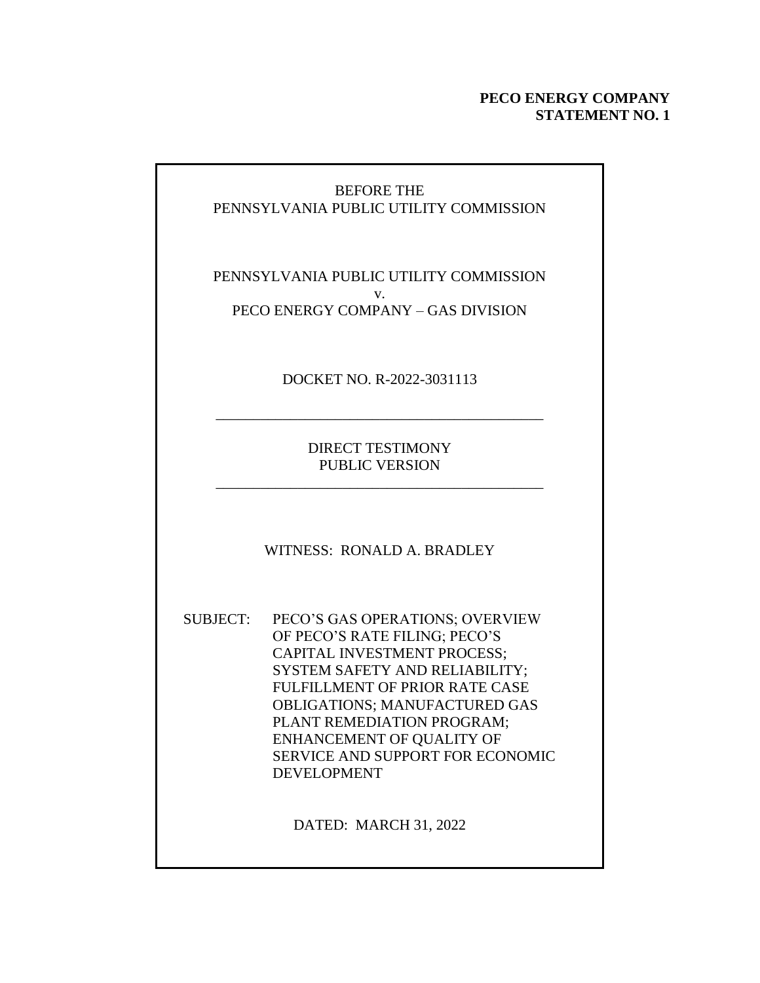## **PECO ENERGY COMPANY STATEMENT NO. 1**

## BEFORE THE PENNSYLVANIA PUBLIC UTILITY COMMISSION

PENNSYLVANIA PUBLIC UTILITY COMMISSION v. PECO ENERGY COMPANY – GAS DIVISION

DOCKET NO. R-2022-3031113

\_\_\_\_\_\_\_\_\_\_\_\_\_\_\_\_\_\_\_\_\_\_\_\_\_\_\_\_\_\_\_\_\_\_\_\_\_\_\_\_\_\_\_\_

DIRECT TESTIMONY PUBLIC VERSION

\_\_\_\_\_\_\_\_\_\_\_\_\_\_\_\_\_\_\_\_\_\_\_\_\_\_\_\_\_\_\_\_\_\_\_\_\_\_\_\_\_\_\_\_

WITNESS: RONALD A. BRADLEY

SUBJECT: PECO'S GAS OPERATIONS; OVERVIEW OF PECO'S RATE FILING; PECO'S CAPITAL INVESTMENT PROCESS; SYSTEM SAFETY AND RELIABILITY; FULFILLMENT OF PRIOR RATE CASE OBLIGATIONS; MANUFACTURED GAS PLANT REMEDIATION PROGRAM; ENHANCEMENT OF QUALITY OF SERVICE AND SUPPORT FOR ECONOMIC DEVELOPMENT

DATED: MARCH 31, 2022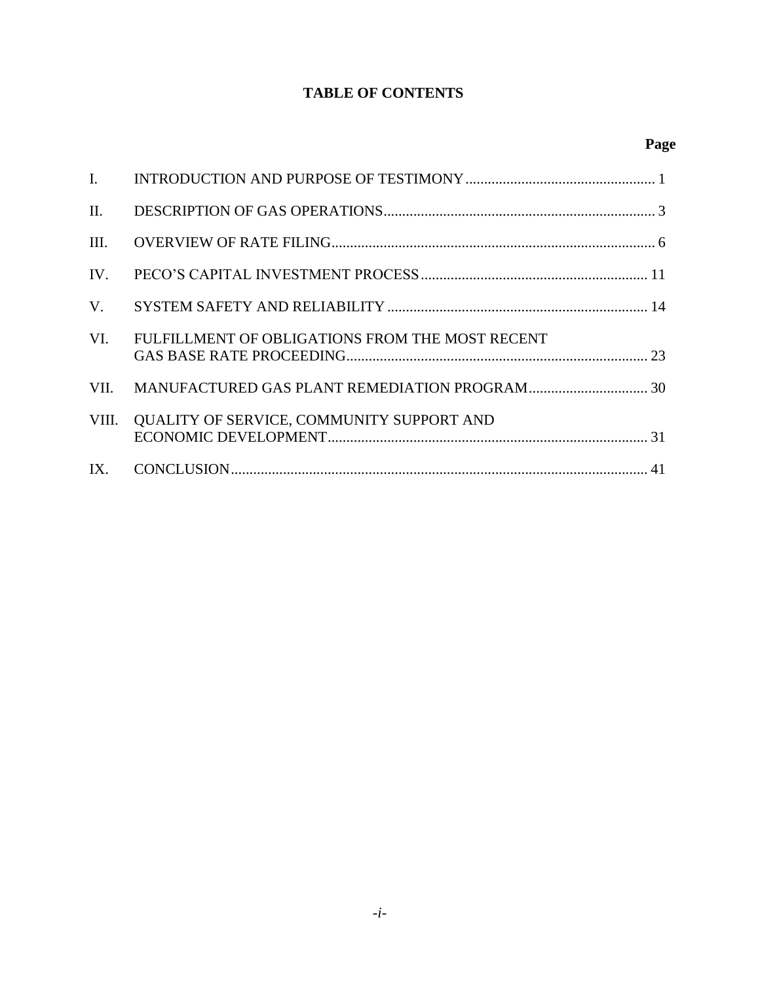# **TABLE OF CONTENTS**

| $\mathbf{I}$ . |                                                 |  |
|----------------|-------------------------------------------------|--|
| II.            |                                                 |  |
| III.           |                                                 |  |
| IV.            |                                                 |  |
| $V_{\cdot}$    |                                                 |  |
| VI.            | FULFILLMENT OF OBLIGATIONS FROM THE MOST RECENT |  |
| VII.           |                                                 |  |
| VIII.          | QUALITY OF SERVICE, COMMUNITY SUPPORT AND       |  |
| $IX_{-}$       |                                                 |  |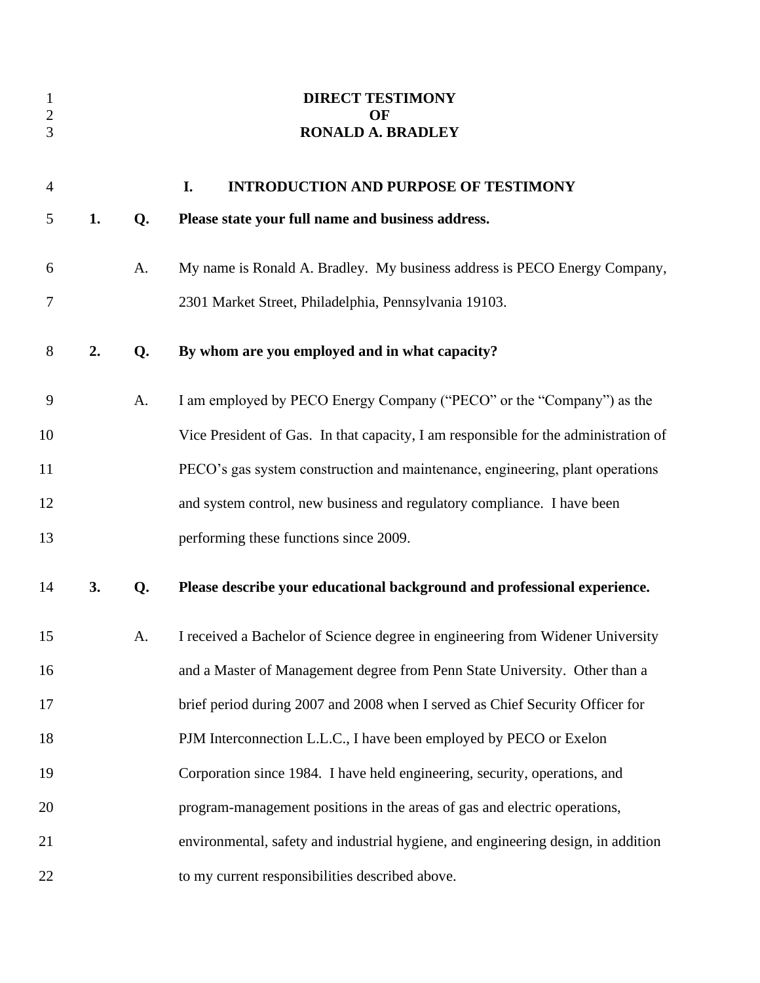<span id="page-2-0"></span>

| $\mathbf{1}$<br>$\overline{c}$<br>3 |    |    | <b>DIRECT TESTIMONY</b><br>OF<br><b>RONALD A. BRADLEY</b>                           |
|-------------------------------------|----|----|-------------------------------------------------------------------------------------|
| 4                                   |    |    | I.<br><b>INTRODUCTION AND PURPOSE OF TESTIMONY</b>                                  |
| 5                                   | 1. | Q. | Please state your full name and business address.                                   |
| 6                                   |    | A. | My name is Ronald A. Bradley. My business address is PECO Energy Company,           |
| 7                                   |    |    | 2301 Market Street, Philadelphia, Pennsylvania 19103.                               |
| 8                                   | 2. | Q. | By whom are you employed and in what capacity?                                      |
| 9                                   |    | A. | I am employed by PECO Energy Company ("PECO" or the "Company") as the               |
| 10                                  |    |    | Vice President of Gas. In that capacity, I am responsible for the administration of |
| 11                                  |    |    | PECO's gas system construction and maintenance, engineering, plant operations       |
| 12                                  |    |    | and system control, new business and regulatory compliance. I have been             |
| 13                                  |    |    | performing these functions since 2009.                                              |
| 14                                  | 3. | Q. | Please describe your educational background and professional experience.            |
| 15                                  |    | A. | I received a Bachelor of Science degree in engineering from Widener University      |
| 16                                  |    |    | and a Master of Management degree from Penn State University. Other than a          |
| 17                                  |    |    | brief period during 2007 and 2008 when I served as Chief Security Officer for       |
| 18                                  |    |    | PJM Interconnection L.L.C., I have been employed by PECO or Exelon                  |
| 19                                  |    |    | Corporation since 1984. I have held engineering, security, operations, and          |
| 20                                  |    |    | program-management positions in the areas of gas and electric operations,           |
| 21                                  |    |    | environmental, safety and industrial hygiene, and engineering design, in addition   |
| 22                                  |    |    | to my current responsibilities described above.                                     |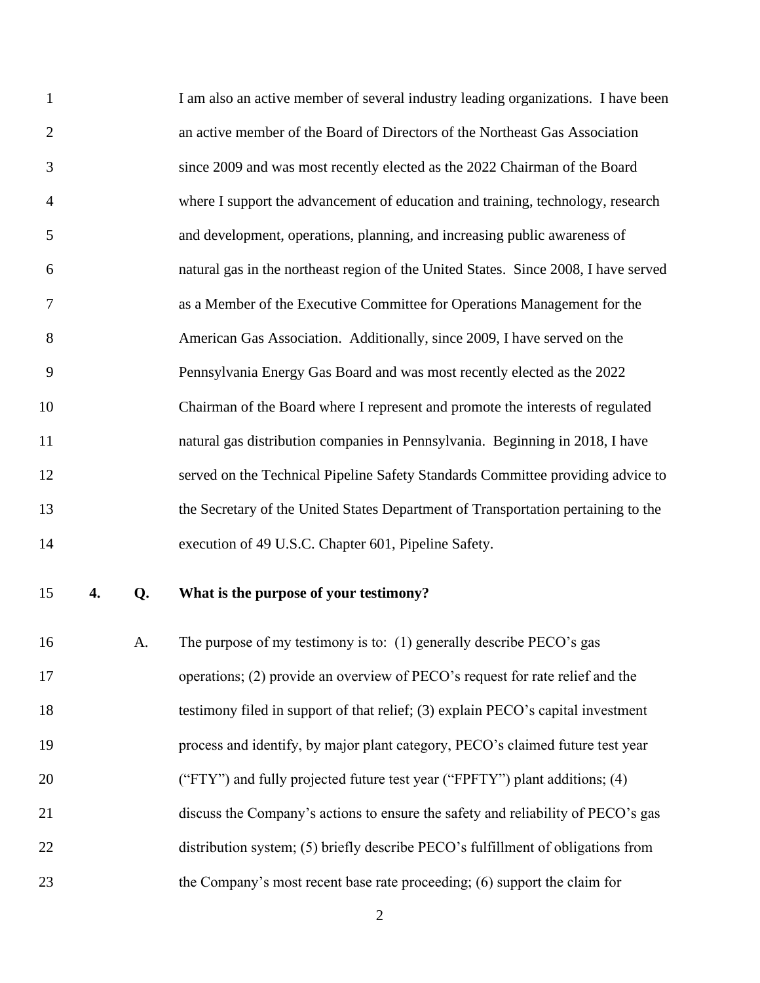| $\mathbf{1}$   |    |    | I am also an active member of several industry leading organizations. I have been   |
|----------------|----|----|-------------------------------------------------------------------------------------|
| $\overline{2}$ |    |    | an active member of the Board of Directors of the Northeast Gas Association         |
| 3              |    |    | since 2009 and was most recently elected as the 2022 Chairman of the Board          |
| $\overline{4}$ |    |    | where I support the advancement of education and training, technology, research     |
| 5              |    |    | and development, operations, planning, and increasing public awareness of           |
| 6              |    |    | natural gas in the northeast region of the United States. Since 2008, I have served |
| 7              |    |    | as a Member of the Executive Committee for Operations Management for the            |
| 8              |    |    | American Gas Association. Additionally, since 2009, I have served on the            |
| 9              |    |    | Pennsylvania Energy Gas Board and was most recently elected as the 2022             |
| 10             |    |    | Chairman of the Board where I represent and promote the interests of regulated      |
| 11             |    |    | natural gas distribution companies in Pennsylvania. Beginning in 2018, I have       |
| 12             |    |    | served on the Technical Pipeline Safety Standards Committee providing advice to     |
| 13             |    |    | the Secretary of the United States Department of Transportation pertaining to the   |
| 14             |    |    | execution of 49 U.S.C. Chapter 601, Pipeline Safety.                                |
| 15             | 4. | Q. | What is the purpose of your testimony?                                              |
| 16             |    | A. | The purpose of my testimony is to: (1) generally describe PECO's gas                |
| 17             |    |    | operations; (2) provide an overview of PECO's request for rate relief and the       |
| 18             |    |    | testimony filed in support of that relief; (3) explain PECO's capital investment    |
| 19             |    |    | process and identify, by major plant category, PECO's claimed future test year      |
| 20             |    |    | ("FTY") and fully projected future test year ("FPFTY") plant additions; (4)         |
| 21             |    |    | discuss the Company's actions to ensure the safety and reliability of PECO's gas    |
| 22             |    |    | distribution system; (5) briefly describe PECO's fulfillment of obligations from    |
| 23             |    |    | the Company's most recent base rate proceeding; (6) support the claim for           |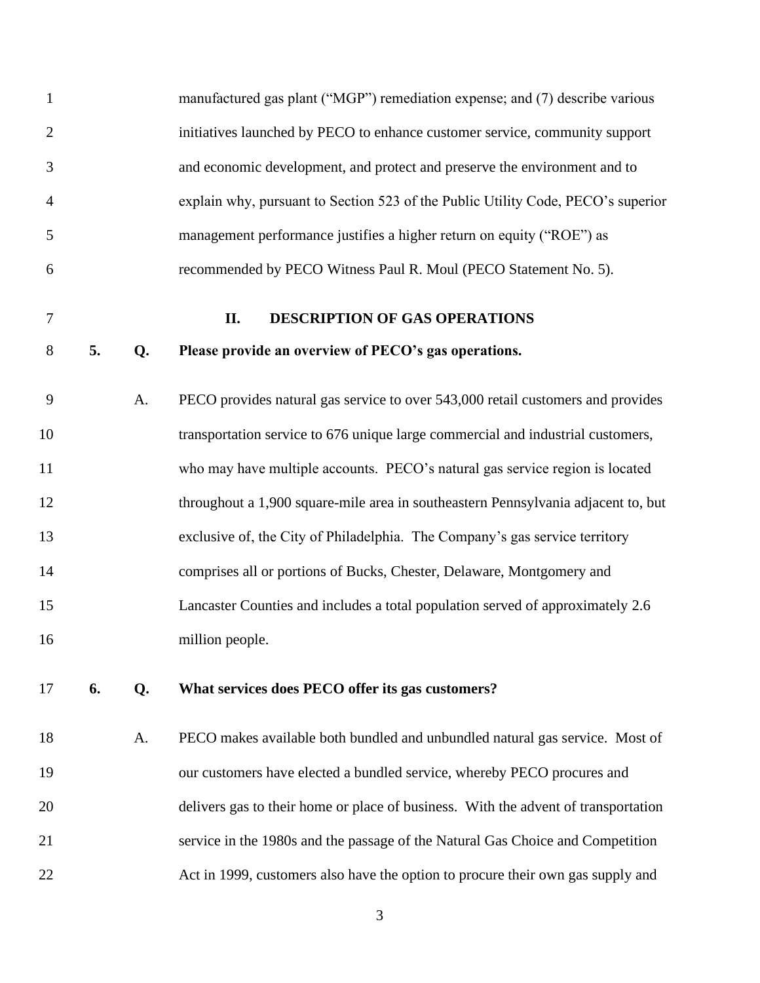<span id="page-4-0"></span>

| $\mathbf{1}$ |    |    | manufactured gas plant ("MGP") remediation expense; and (7) describe various       |
|--------------|----|----|------------------------------------------------------------------------------------|
| $\mathbf{2}$ |    |    | initiatives launched by PECO to enhance customer service, community support        |
| 3            |    |    | and economic development, and protect and preserve the environment and to          |
| 4            |    |    | explain why, pursuant to Section 523 of the Public Utility Code, PECO's superior   |
| 5            |    |    | management performance justifies a higher return on equity ("ROE") as              |
| 6            |    |    | recommended by PECO Witness Paul R. Moul (PECO Statement No. 5).                   |
| $\tau$       |    |    | <b>DESCRIPTION OF GAS OPERATIONS</b><br>П.                                         |
| 8            | 5. | Q. | Please provide an overview of PECO's gas operations.                               |
| 9            |    | A. | PECO provides natural gas service to over 543,000 retail customers and provides    |
| 10           |    |    | transportation service to 676 unique large commercial and industrial customers,    |
| 11           |    |    | who may have multiple accounts. PECO's natural gas service region is located       |
| 12           |    |    | throughout a 1,900 square-mile area in southeastern Pennsylvania adjacent to, but  |
| 13           |    |    | exclusive of, the City of Philadelphia. The Company's gas service territory        |
| 14           |    |    | comprises all or portions of Bucks, Chester, Delaware, Montgomery and              |
| 15           |    |    | Lancaster Counties and includes a total population served of approximately 2.6     |
| 16           |    |    | million people.                                                                    |
| 17           | 6. | Q. | What services does PECO offer its gas customers?                                   |
| 18           |    | A. | PECO makes available both bundled and unbundled natural gas service. Most of       |
| 19           |    |    | our customers have elected a bundled service, whereby PECO procures and            |
| 20           |    |    | delivers gas to their home or place of business. With the advent of transportation |
| 21           |    |    | service in the 1980s and the passage of the Natural Gas Choice and Competition     |
| 22           |    |    | Act in 1999, customers also have the option to procure their own gas supply and    |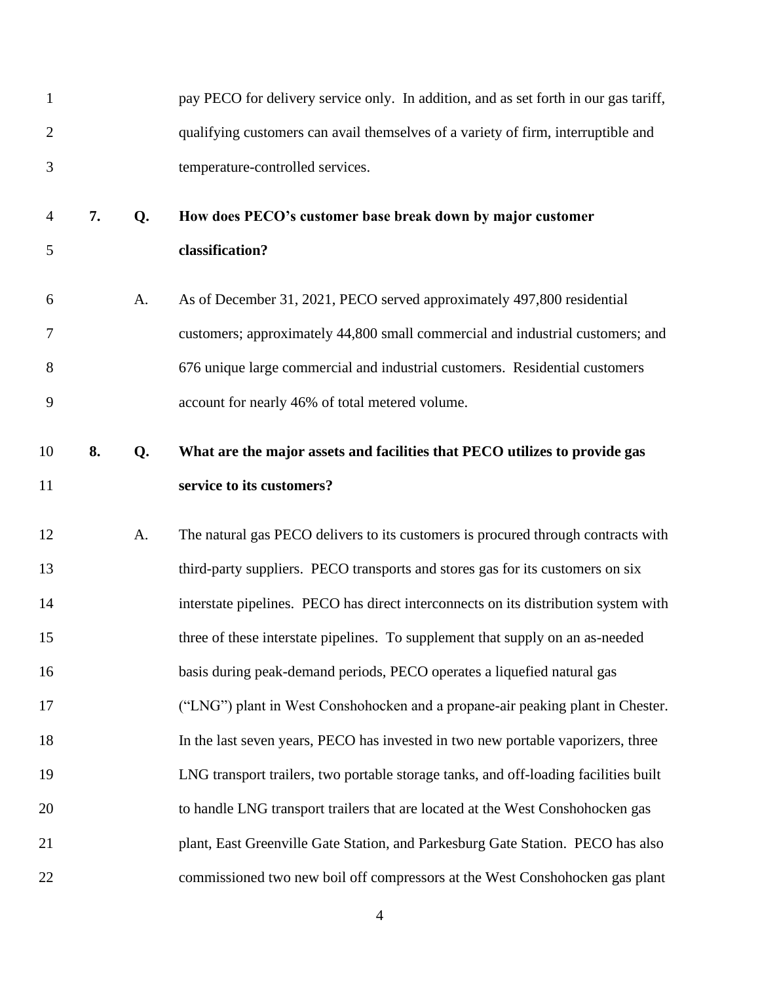| $\mathbf{1}$   |    |    | pay PECO for delivery service only. In addition, and as set forth in our gas tariff, |
|----------------|----|----|--------------------------------------------------------------------------------------|
| $\overline{2}$ |    |    | qualifying customers can avail themselves of a variety of firm, interruptible and    |
| 3              |    |    | temperature-controlled services.                                                     |
| $\overline{4}$ | 7. | Q. | How does PECO's customer base break down by major customer                           |
| 5              |    |    | classification?                                                                      |
| 6              |    | A. | As of December 31, 2021, PECO served approximately 497,800 residential               |
| 7              |    |    | customers; approximately 44,800 small commercial and industrial customers; and       |
| 8              |    |    | 676 unique large commercial and industrial customers. Residential customers          |
| 9              |    |    | account for nearly 46% of total metered volume.                                      |
| 10             | 8. | Q. | What are the major assets and facilities that PECO utilizes to provide gas           |
| 11             |    |    | service to its customers?                                                            |
|                |    |    |                                                                                      |
| 12             |    | A. | The natural gas PECO delivers to its customers is procured through contracts with    |
| 13             |    |    | third-party suppliers. PECO transports and stores gas for its customers on six       |
| 14             |    |    | interstate pipelines. PECO has direct interconnects on its distribution system with  |
| 15             |    |    | three of these interstate pipelines. To supplement that supply on an as-needed       |
| 16             |    |    | basis during peak-demand periods, PECO operates a liquefied natural gas              |
| 17             |    |    | ("LNG") plant in West Conshohocken and a propane-air peaking plant in Chester.       |
| 18             |    |    | In the last seven years, PECO has invested in two new portable vaporizers, three     |
| 19             |    |    | LNG transport trailers, two portable storage tanks, and off-loading facilities built |
| 20             |    |    | to handle LNG transport trailers that are located at the West Conshohocken gas       |
| 21             |    |    | plant, East Greenville Gate Station, and Parkesburg Gate Station. PECO has also      |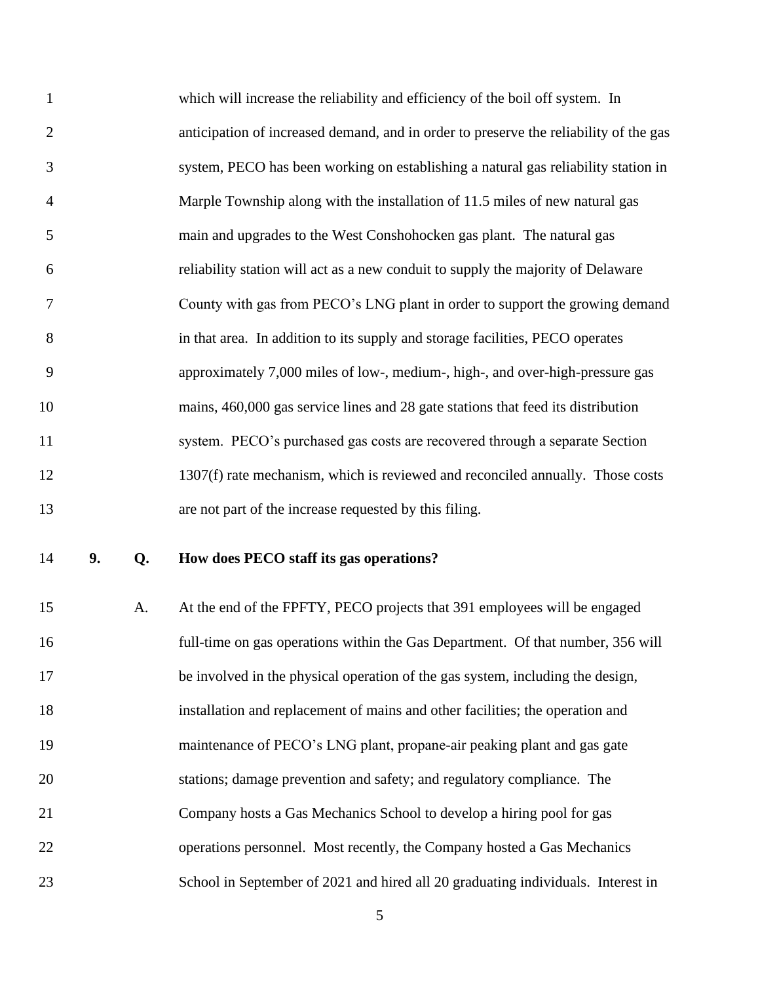which will increase the reliability and efficiency of the boil off system. In anticipation of increased demand, and in order to preserve the reliability of the gas system, PECO has been working on establishing a natural gas reliability station in Marple Township along with the installation of 11.5 miles of new natural gas main and upgrades to the West Conshohocken gas plant. The natural gas reliability station will act as a new conduit to supply the majority of Delaware County with gas from PECO's LNG plant in order to support the growing demand in that area. In addition to its supply and storage facilities, PECO operates approximately 7,000 miles of low-, medium-, high-, and over-high-pressure gas mains, 460,000 gas service lines and 28 gate stations that feed its distribution system. PECO's purchased gas costs are recovered through a separate Section 12 1307(f) rate mechanism, which is reviewed and reconciled annually. Those costs are not part of the increase requested by this filing.

#### **9. Q. How does PECO staff its gas operations?**

 A. At the end of the FPFTY, PECO projects that 391 employees will be engaged full-time on gas operations within the Gas Department. Of that number, 356 will be involved in the physical operation of the gas system, including the design, installation and replacement of mains and other facilities; the operation and maintenance of PECO's LNG plant, propane-air peaking plant and gas gate stations; damage prevention and safety; and regulatory compliance. The Company hosts a Gas Mechanics School to develop a hiring pool for gas operations personnel. Most recently, the Company hosted a Gas Mechanics School in September of 2021 and hired all 20 graduating individuals. Interest in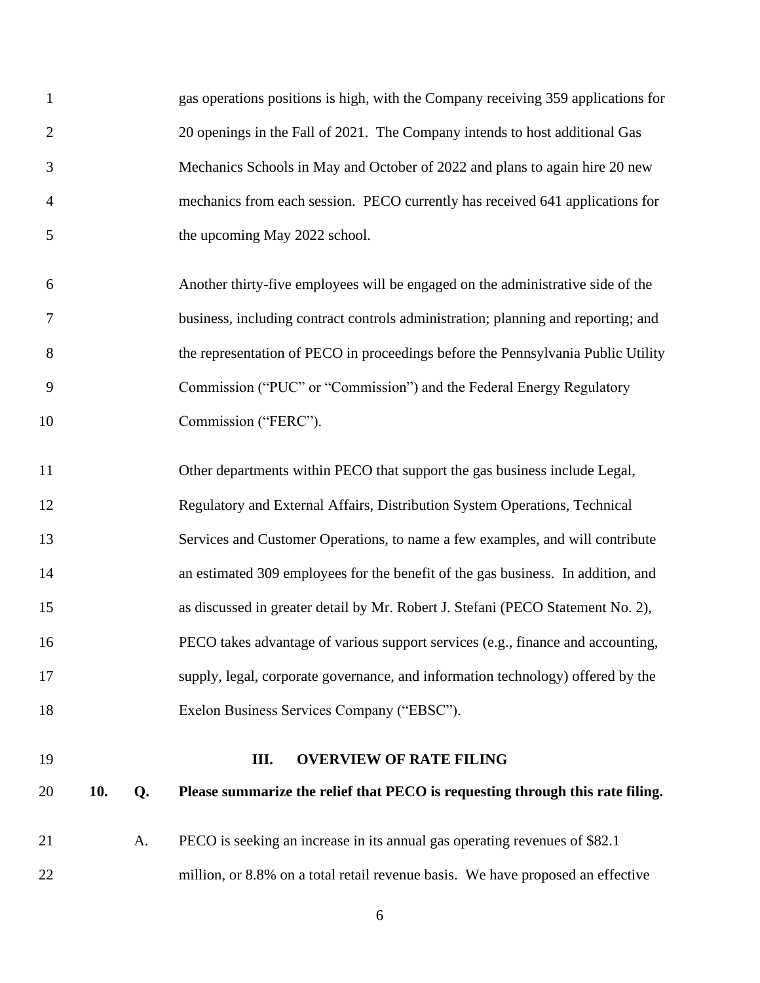<span id="page-7-0"></span>

| $\mathbf{1}$   |           | gas operations positions is high, with the Company receiving 359 applications for |
|----------------|-----------|-----------------------------------------------------------------------------------|
| $\overline{2}$ |           | 20 openings in the Fall of 2021. The Company intends to host additional Gas       |
| 3              |           | Mechanics Schools in May and October of 2022 and plans to again hire 20 new       |
| $\overline{4}$ |           | mechanics from each session. PECO currently has received 641 applications for     |
| 5              |           | the upcoming May 2022 school.                                                     |
| 6              |           | Another thirty-five employees will be engaged on the administrative side of the   |
| 7              |           | business, including contract controls administration; planning and reporting; and |
| 8              |           | the representation of PECO in proceedings before the Pennsylvania Public Utility  |
| 9              |           | Commission ("PUC" or "Commission") and the Federal Energy Regulatory              |
| 10             |           | Commission ("FERC").                                                              |
| 11             |           | Other departments within PECO that support the gas business include Legal,        |
| 12             |           | Regulatory and External Affairs, Distribution System Operations, Technical        |
| 13             |           | Services and Customer Operations, to name a few examples, and will contribute     |
| 14             |           | an estimated 309 employees for the benefit of the gas business. In addition, and  |
| 15             |           | as discussed in greater detail by Mr. Robert J. Stefani (PECO Statement No. 2),   |
| 16             |           | PECO takes advantage of various support services (e.g., finance and accounting,   |
| 17             |           | supply, legal, corporate governance, and information technology) offered by the   |
| 18             |           | Exelon Business Services Company ("EBSC").                                        |
| 19             |           | <b>OVERVIEW OF RATE FILING</b><br>III.                                            |
| 20             | 10.<br>Q. | Please summarize the relief that PECO is requesting through this rate filing.     |
| 21             | A.        | PECO is seeking an increase in its annual gas operating revenues of \$82.1        |
| 22             |           | million, or 8.8% on a total retail revenue basis. We have proposed an effective   |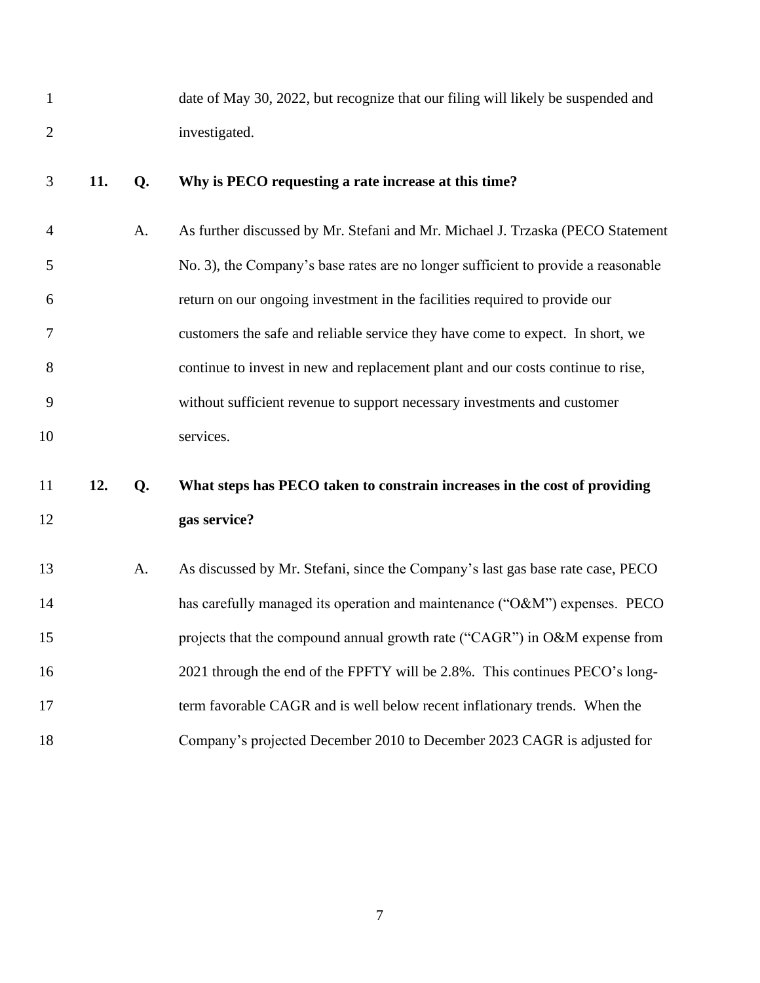date of May 30, 2022, but recognize that our filing will likely be suspended and investigated.

|  | Why is PECO requesting a rate increase at this time? |
|--|------------------------------------------------------|
|  |                                                      |

 A. As further discussed by Mr. Stefani and Mr. Michael J. Trzaska (PECO Statement No. 3), the Company's base rates are no longer sufficient to provide a reasonable return on our ongoing investment in the facilities required to provide our customers the safe and reliable service they have come to expect. In short, we continue to invest in new and replacement plant and our costs continue to rise, without sufficient revenue to support necessary investments and customer services.

# **12. Q. What steps has PECO taken to constrain increases in the cost of providing gas service?**

 A. As discussed by Mr. Stefani, since the Company's last gas base rate case, PECO 14 has carefully managed its operation and maintenance ("O&M") expenses. PECO 15 projects that the compound annual growth rate ("CAGR") in O&M expense from 2021 through the end of the FPFTY will be 2.8%. This continues PECO's long-17 term favorable CAGR and is well below recent inflationary trends. When the Company's projected December 2010 to December 2023 CAGR is adjusted for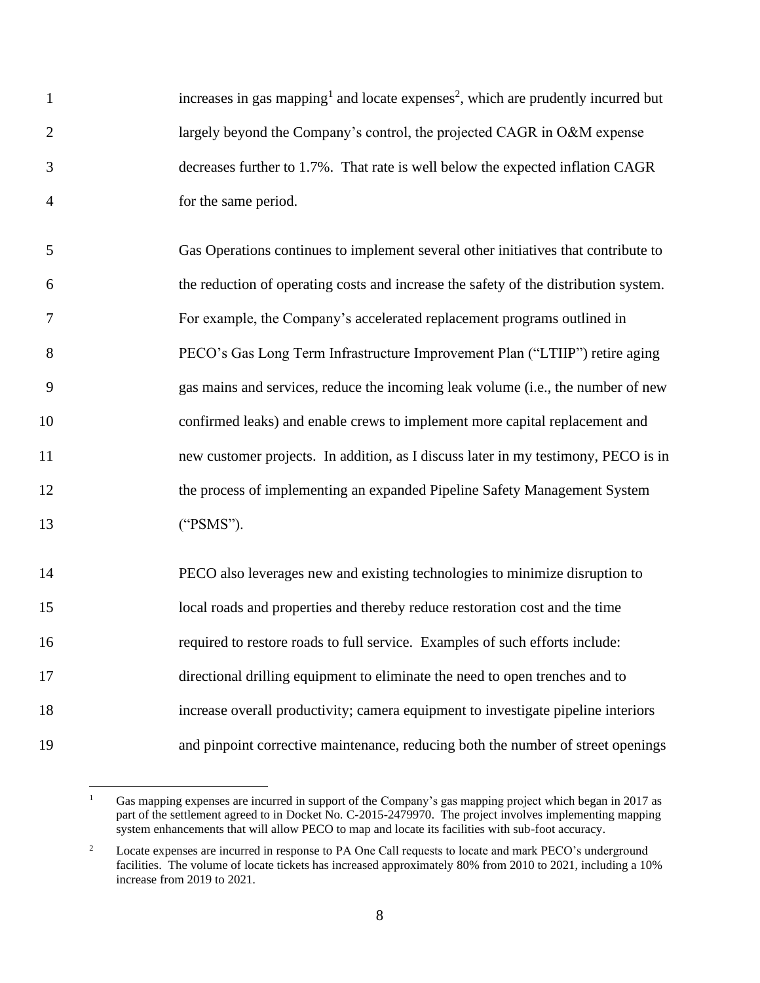| $\mathbf{1}$   | increases in gas mapping <sup>1</sup> and locate expenses <sup>2</sup> , which are prudently incurred but |
|----------------|-----------------------------------------------------------------------------------------------------------|
| $\overline{2}$ | largely beyond the Company's control, the projected CAGR in O&M expense                                   |
| 3              | decreases further to 1.7%. That rate is well below the expected inflation CAGR                            |
| $\overline{4}$ | for the same period.                                                                                      |
| 5              | Gas Operations continues to implement several other initiatives that contribute to                        |
| 6              | the reduction of operating costs and increase the safety of the distribution system.                      |
| 7              | For example, the Company's accelerated replacement programs outlined in                                   |
| 8              | PECO's Gas Long Term Infrastructure Improvement Plan ("LTIIP") retire aging                               |
| 9              | gas mains and services, reduce the incoming leak volume (i.e., the number of new                          |
| 10             | confirmed leaks) and enable crews to implement more capital replacement and                               |
| 11             | new customer projects. In addition, as I discuss later in my testimony, PECO is in                        |
| 12             | the process of implementing an expanded Pipeline Safety Management System                                 |
| 13             | ("PSMS").                                                                                                 |
| 14             | PECO also leverages new and existing technologies to minimize disruption to                               |
| 15             | local roads and properties and thereby reduce restoration cost and the time                               |
| 16             | required to restore roads to full service. Examples of such efforts include:                              |
| 17             | directional drilling equipment to eliminate the need to open trenches and to                              |
| 18             | increase overall productivity; camera equipment to investigate pipeline interiors                         |
| 19             | and pinpoint corrective maintenance, reducing both the number of street openings                          |

<sup>&</sup>lt;sup>1</sup> Gas mapping expenses are incurred in support of the Company's gas mapping project which began in 2017 as part of the settlement agreed to in Docket No. C-2015-2479970. The project involves implementing mapping system enhancements that will allow PECO to map and locate its facilities with sub-foot accuracy.

<sup>&</sup>lt;sup>2</sup> Locate expenses are incurred in response to PA One Call requests to locate and mark PECO's underground facilities. The volume of locate tickets has increased approximately 80% from 2010 to 2021, including a 10% increase from 2019 to 2021.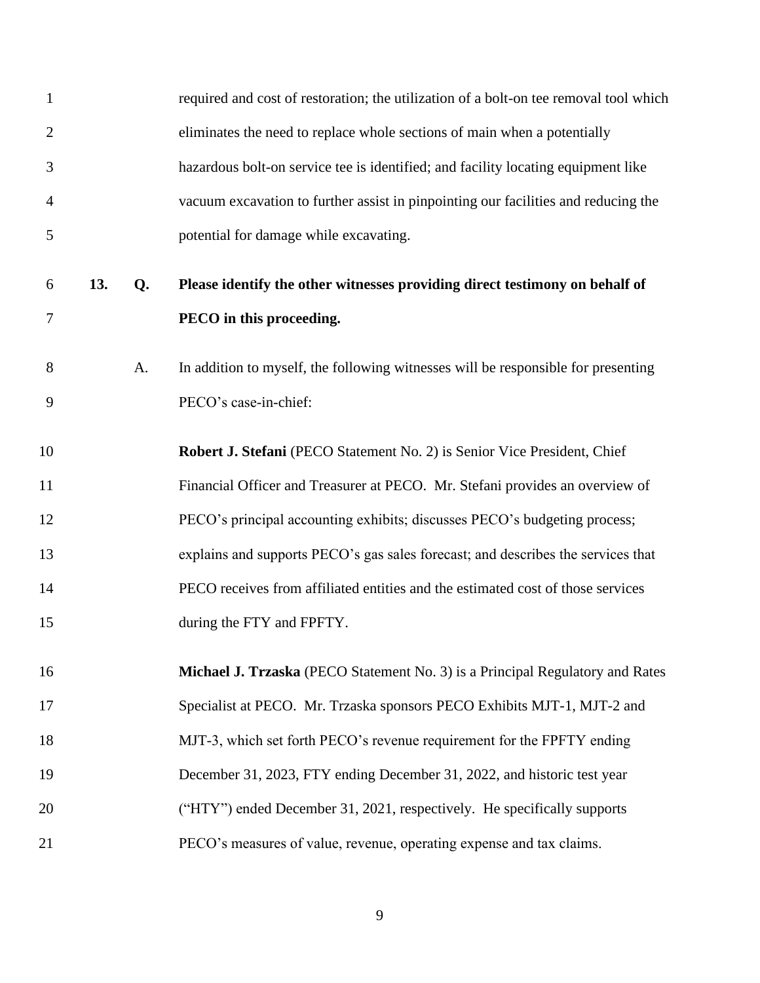| $\mathbf{1}$   |     |    | required and cost of restoration; the utilization of a bolt-on tee removal tool which |
|----------------|-----|----|---------------------------------------------------------------------------------------|
| $\overline{2}$ |     |    | eliminates the need to replace whole sections of main when a potentially              |
| 3              |     |    | hazardous bolt-on service tee is identified; and facility locating equipment like     |
| $\overline{4}$ |     |    | vacuum excavation to further assist in pinpointing our facilities and reducing the    |
| 5              |     |    | potential for damage while excavating.                                                |
| 6              | 13. | Q. | Please identify the other witnesses providing direct testimony on behalf of           |
| 7              |     |    | PECO in this proceeding.                                                              |
| 8              |     | A. | In addition to myself, the following witnesses will be responsible for presenting     |
| 9              |     |    | PECO's case-in-chief:                                                                 |
| 10             |     |    | Robert J. Stefani (PECO Statement No. 2) is Senior Vice President, Chief              |
| 11             |     |    | Financial Officer and Treasurer at PECO. Mr. Stefani provides an overview of          |
| 12             |     |    | PECO's principal accounting exhibits; discusses PECO's budgeting process;             |
| 13             |     |    | explains and supports PECO's gas sales forecast; and describes the services that      |
| 14             |     |    | PECO receives from affiliated entities and the estimated cost of those services       |
| 15             |     |    | during the FTY and FPFTY.                                                             |
| 16             |     |    | Michael J. Trzaska (PECO Statement No. 3) is a Principal Regulatory and Rates         |
| 17             |     |    | Specialist at PECO. Mr. Trzaska sponsors PECO Exhibits MJT-1, MJT-2 and               |
| 18             |     |    | MJT-3, which set forth PECO's revenue requirement for the FPFTY ending                |
| 19             |     |    | December 31, 2023, FTY ending December 31, 2022, and historic test year               |
| 20             |     |    | ("HTY") ended December 31, 2021, respectively. He specifically supports               |
| 21             |     |    | PECO's measures of value, revenue, operating expense and tax claims.                  |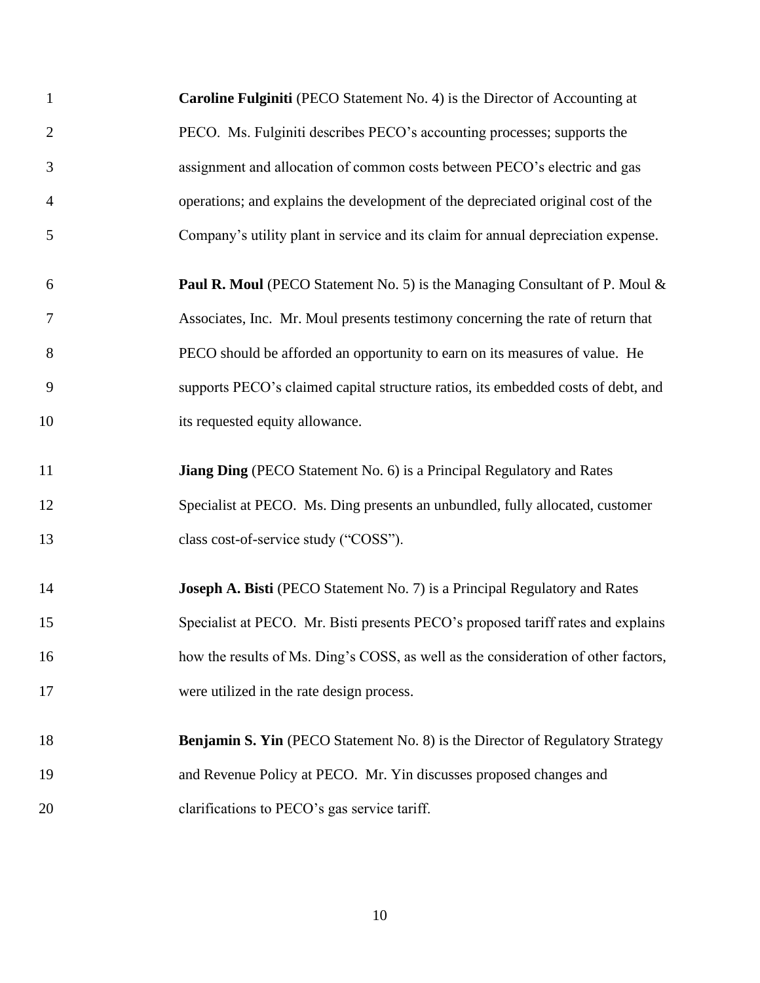| $\mathbf{1}$   | <b>Caroline Fulginiti</b> (PECO Statement No. 4) is the Director of Accounting at    |
|----------------|--------------------------------------------------------------------------------------|
| $\overline{2}$ | PECO. Ms. Fulginiti describes PECO's accounting processes; supports the              |
| 3              | assignment and allocation of common costs between PECO's electric and gas            |
| $\overline{4}$ | operations; and explains the development of the depreciated original cost of the     |
| 5              | Company's utility plant in service and its claim for annual depreciation expense.    |
| 6              | <b>Paul R. Moul</b> (PECO Statement No. 5) is the Managing Consultant of P. Moul &   |
| 7              | Associates, Inc. Mr. Moul presents testimony concerning the rate of return that      |
| 8              | PECO should be afforded an opportunity to earn on its measures of value. He          |
| 9              | supports PECO's claimed capital structure ratios, its embedded costs of debt, and    |
| 10             | its requested equity allowance.                                                      |
|                |                                                                                      |
| 11             | <b>Jiang Ding</b> (PECO Statement No. 6) is a Principal Regulatory and Rates         |
| 12             | Specialist at PECO. Ms. Ding presents an unbundled, fully allocated, customer        |
| 13             | class cost-of-service study ("COSS").                                                |
| 14             | Joseph A. Bisti (PECO Statement No. 7) is a Principal Regulatory and Rates           |
| 15             | Specialist at PECO. Mr. Bisti presents PECO's proposed tariff rates and explains     |
| 16             | how the results of Ms. Ding's COSS, as well as the consideration of other factors,   |
| 17             | were utilized in the rate design process.                                            |
| 18             | <b>Benjamin S. Yin</b> (PECO Statement No. 8) is the Director of Regulatory Strategy |
| 19             | and Revenue Policy at PECO. Mr. Yin discusses proposed changes and                   |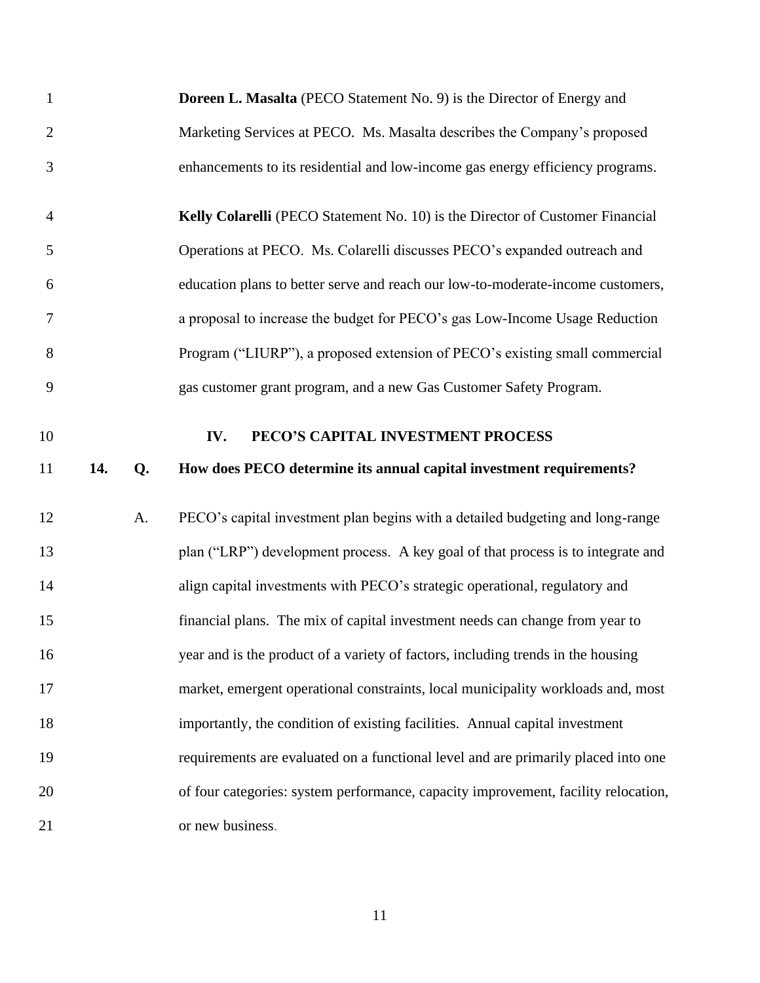<span id="page-12-0"></span>

| $\mathbf{1}$   |     |    | <b>Doreen L. Masalta</b> (PECO Statement No. 9) is the Director of Energy and      |
|----------------|-----|----|------------------------------------------------------------------------------------|
| $\overline{2}$ |     |    | Marketing Services at PECO. Ms. Masalta describes the Company's proposed           |
| 3              |     |    | enhancements to its residential and low-income gas energy efficiency programs.     |
| $\overline{4}$ |     |    | Kelly Colarelli (PECO Statement No. 10) is the Director of Customer Financial      |
| 5              |     |    | Operations at PECO. Ms. Colarelli discusses PECO's expanded outreach and           |
| 6              |     |    | education plans to better serve and reach our low-to-moderate-income customers,    |
| 7              |     |    | a proposal to increase the budget for PECO's gas Low-Income Usage Reduction        |
| 8              |     |    | Program ("LIURP"), a proposed extension of PECO's existing small commercial        |
| 9              |     |    | gas customer grant program, and a new Gas Customer Safety Program.                 |
| 10             |     |    | PECO'S CAPITAL INVESTMENT PROCESS<br>IV.                                           |
|                |     |    |                                                                                    |
| 11             | 14. | Q. | How does PECO determine its annual capital investment requirements?                |
| 12             |     | A. | PECO's capital investment plan begins with a detailed budgeting and long-range     |
| 13             |     |    | plan ("LRP") development process. A key goal of that process is to integrate and   |
| 14             |     |    | align capital investments with PECO's strategic operational, regulatory and        |
| 15             |     |    | financial plans. The mix of capital investment needs can change from year to       |
| 16             |     |    | year and is the product of a variety of factors, including trends in the housing   |
| 17             |     |    | market, emergent operational constraints, local municipality workloads and, most   |
| 18             |     |    | importantly, the condition of existing facilities. Annual capital investment       |
| 19             |     |    | requirements are evaluated on a functional level and are primarily placed into one |
| 20             |     |    | of four categories: system performance, capacity improvement, facility relocation, |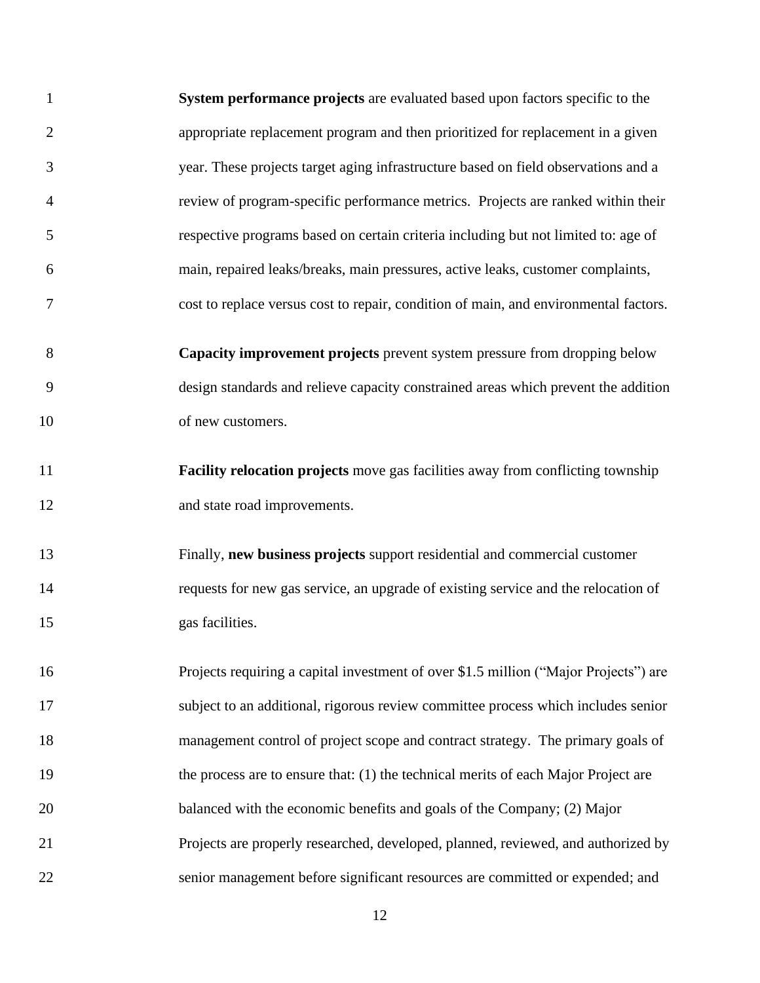**System performance projects** are evaluated based upon factors specific to the appropriate replacement program and then prioritized for replacement in a given year. These projects target aging infrastructure based on field observations and a review of program-specific performance metrics. Projects are ranked within their respective programs based on certain criteria including but not limited to: age of main, repaired leaks/breaks, main pressures, active leaks, customer complaints, cost to replace versus cost to repair, condition of main, and environmental factors.

 **Capacity improvement projects** prevent system pressure from dropping below design standards and relieve capacity constrained areas which prevent the addition 10 of new customers.

 **Facility relocation projects** move gas facilities away from conflicting township 12 and state road improvements.

 Finally, **new business projects** support residential and commercial customer requests for new gas service, an upgrade of existing service and the relocation of gas facilities.

 Projects requiring a capital investment of over \$1.5 million ("Major Projects") are subject to an additional, rigorous review committee process which includes senior management control of project scope and contract strategy. The primary goals of 19 the process are to ensure that: (1) the technical merits of each Major Project are 20 balanced with the economic benefits and goals of the Company; (2) Major Projects are properly researched, developed, planned, reviewed, and authorized by senior management before significant resources are committed or expended; and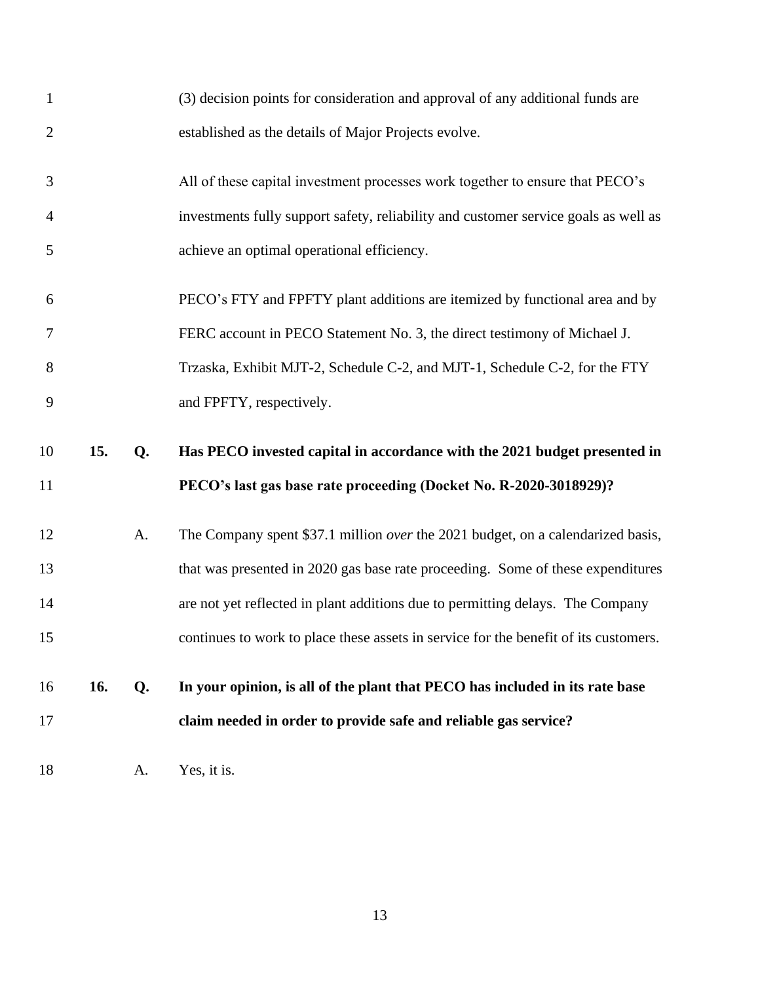| $\mathbf{1}$   |     |    | (3) decision points for consideration and approval of any additional funds are       |
|----------------|-----|----|--------------------------------------------------------------------------------------|
| $\overline{2}$ |     |    | established as the details of Major Projects evolve.                                 |
| 3              |     |    | All of these capital investment processes work together to ensure that PECO's        |
| $\overline{4}$ |     |    | investments fully support safety, reliability and customer service goals as well as  |
| 5              |     |    | achieve an optimal operational efficiency.                                           |
| 6              |     |    | PECO's FTY and FPFTY plant additions are itemized by functional area and by          |
| 7              |     |    | FERC account in PECO Statement No. 3, the direct testimony of Michael J.             |
| 8              |     |    | Trzaska, Exhibit MJT-2, Schedule C-2, and MJT-1, Schedule C-2, for the FTY           |
| 9              |     |    | and FPFTY, respectively.                                                             |
|                |     |    |                                                                                      |
| 10             | 15. | Q. | Has PECO invested capital in accordance with the 2021 budget presented in            |
| 11             |     |    | PECO's last gas base rate proceeding (Docket No. R-2020-3018929)?                    |
| 12             |     | A. | The Company spent \$37.1 million over the 2021 budget, on a calendarized basis,      |
| 13             |     |    | that was presented in 2020 gas base rate proceeding. Some of these expenditures      |
| 14             |     |    | are not yet reflected in plant additions due to permitting delays. The Company       |
| 15             |     |    | continues to work to place these assets in service for the benefit of its customers. |
| 16             | 16. | Q. | In your opinion, is all of the plant that PECO has included in its rate base         |
| 17             |     |    | claim needed in order to provide safe and reliable gas service?                      |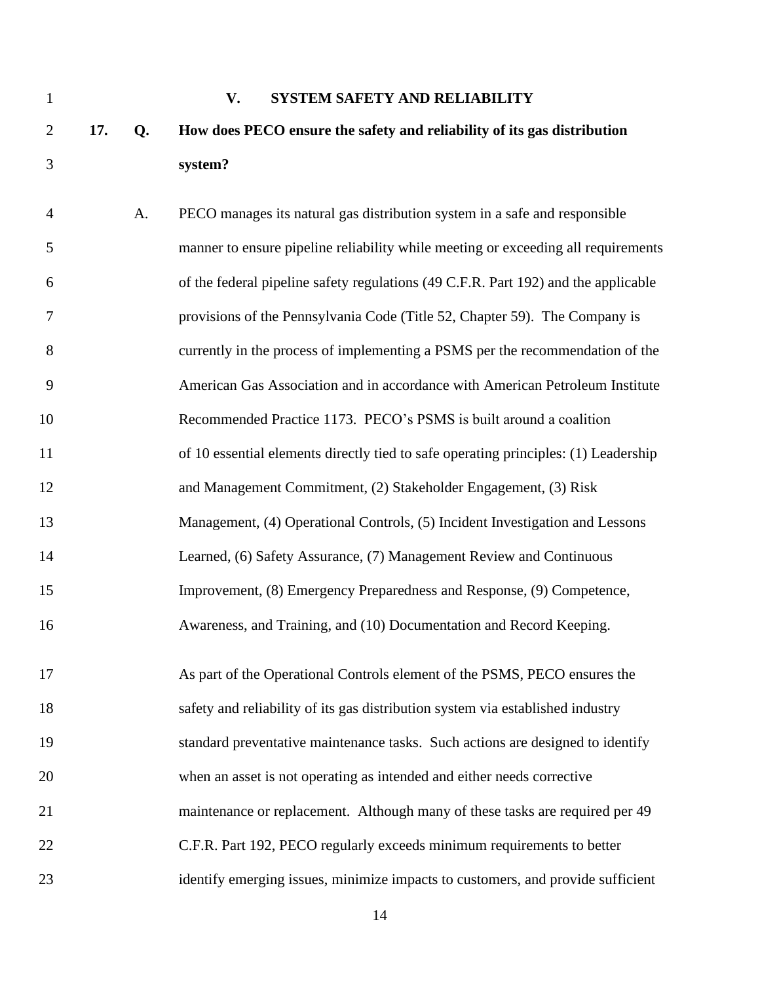<span id="page-15-0"></span>

| $\mathbf{1}$   |     |    | SYSTEM SAFETY AND RELIABILITY<br>V.                                                 |
|----------------|-----|----|-------------------------------------------------------------------------------------|
| $\overline{2}$ | 17. | Q. | How does PECO ensure the safety and reliability of its gas distribution             |
| 3              |     |    | system?                                                                             |
| 4              |     | A. | PECO manages its natural gas distribution system in a safe and responsible          |
| 5              |     |    | manner to ensure pipeline reliability while meeting or exceeding all requirements   |
| 6              |     |    | of the federal pipeline safety regulations (49 C.F.R. Part 192) and the applicable  |
| 7              |     |    | provisions of the Pennsylvania Code (Title 52, Chapter 59). The Company is          |
| 8              |     |    | currently in the process of implementing a PSMS per the recommendation of the       |
| 9              |     |    | American Gas Association and in accordance with American Petroleum Institute        |
| 10             |     |    | Recommended Practice 1173. PECO's PSMS is built around a coalition                  |
| 11             |     |    | of 10 essential elements directly tied to safe operating principles: (1) Leadership |
| 12             |     |    | and Management Commitment, (2) Stakeholder Engagement, (3) Risk                     |
| 13             |     |    | Management, (4) Operational Controls, (5) Incident Investigation and Lessons        |
| 14             |     |    | Learned, (6) Safety Assurance, (7) Management Review and Continuous                 |
| 15             |     |    | Improvement, (8) Emergency Preparedness and Response, (9) Competence,               |
| 16             |     |    | Awareness, and Training, and (10) Documentation and Record Keeping.                 |
| 17             |     |    | As part of the Operational Controls element of the PSMS, PECO ensures the           |
| 18             |     |    | safety and reliability of its gas distribution system via established industry      |
| 19             |     |    | standard preventative maintenance tasks. Such actions are designed to identify      |
| 20             |     |    | when an asset is not operating as intended and either needs corrective              |
| 21             |     |    | maintenance or replacement. Although many of these tasks are required per 49        |
| 22             |     |    | C.F.R. Part 192, PECO regularly exceeds minimum requirements to better              |
| 23             |     |    | identify emerging issues, minimize impacts to customers, and provide sufficient     |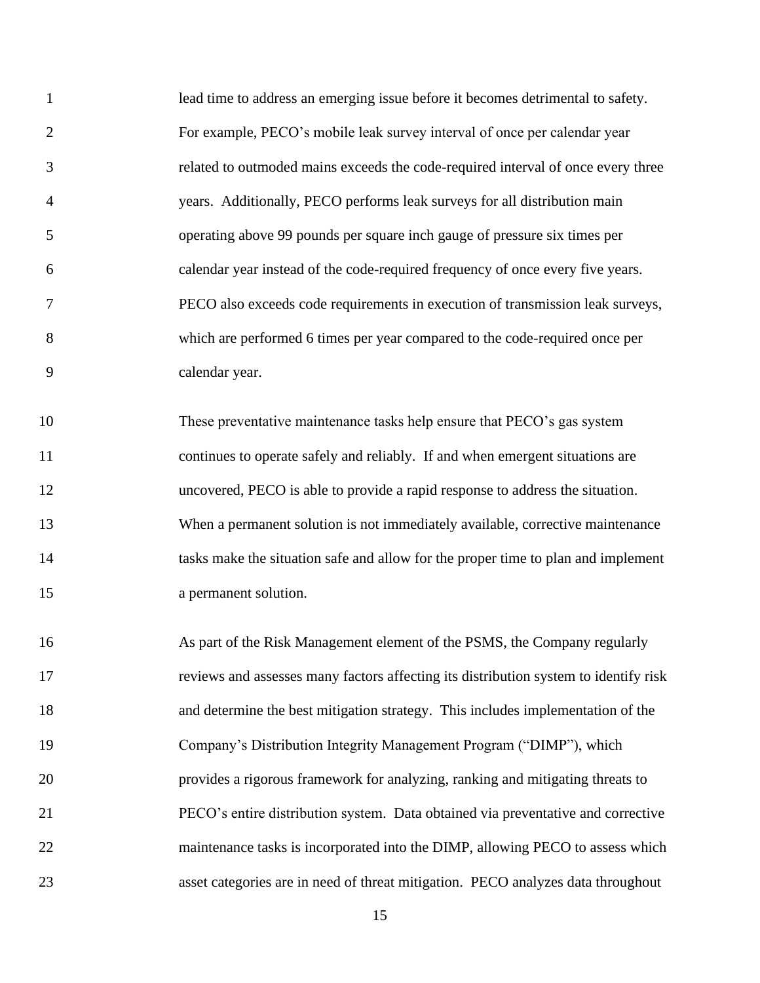lead time to address an emerging issue before it becomes detrimental to safety. For example, PECO's mobile leak survey interval of once per calendar year related to outmoded mains exceeds the code-required interval of once every three years. Additionally, PECO performs leak surveys for all distribution main operating above 99 pounds per square inch gauge of pressure six times per calendar year instead of the code-required frequency of once every five years. PECO also exceeds code requirements in execution of transmission leak surveys, which are performed 6 times per year compared to the code-required once per calendar year. These preventative maintenance tasks help ensure that PECO's gas system continues to operate safely and reliably. If and when emergent situations are uncovered, PECO is able to provide a rapid response to address the situation. When a permanent solution is not immediately available, corrective maintenance tasks make the situation safe and allow for the proper time to plan and implement a permanent solution.

 As part of the Risk Management element of the PSMS, the Company regularly reviews and assesses many factors affecting its distribution system to identify risk and determine the best mitigation strategy. This includes implementation of the Company's Distribution Integrity Management Program ("DIMP"), which provides a rigorous framework for analyzing, ranking and mitigating threats to PECO's entire distribution system. Data obtained via preventative and corrective 22 maintenance tasks is incorporated into the DIMP, allowing PECO to assess which asset categories are in need of threat mitigation. PECO analyzes data throughout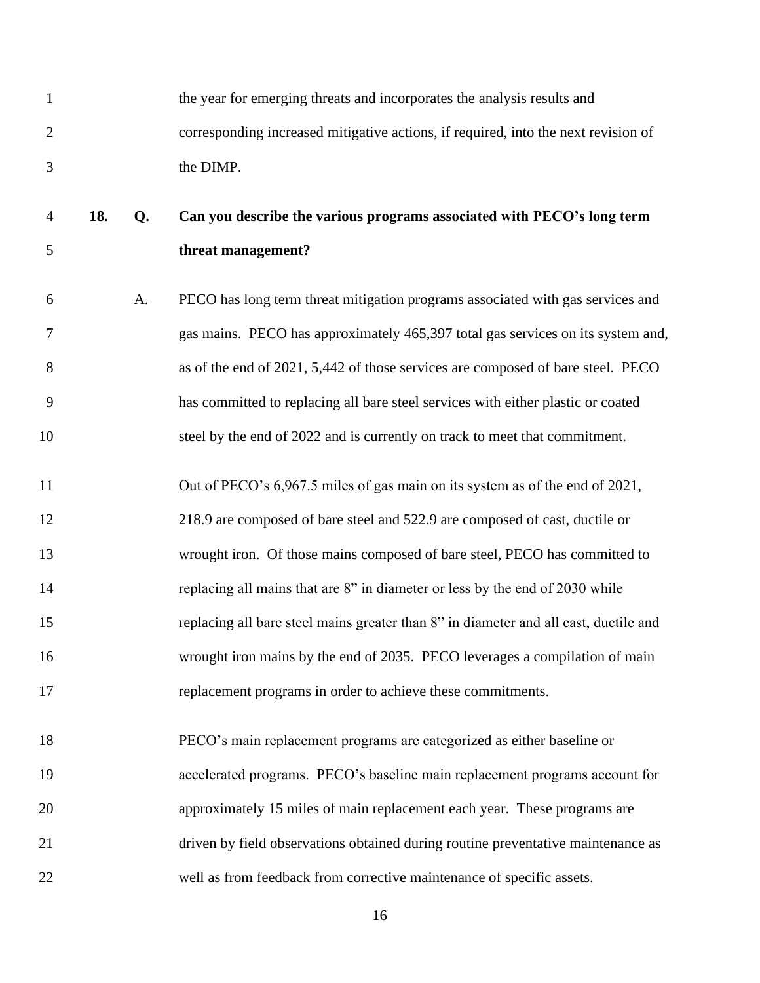| the year for emerging threats and incorporates the analysis results and            |
|------------------------------------------------------------------------------------|
| corresponding increased mitigative actions, if required, into the next revision of |
| the DIMP.                                                                          |

# **18. Q. Can you describe the various programs associated with PECO's long term threat management?**

- A. PECO has long term threat mitigation programs associated with gas services and gas mains. PECO has approximately 465,397 total gas services on its system and, as of the end of 2021, 5,442 of those services are composed of bare steel. PECO has committed to replacing all bare steel services with either plastic or coated steel by the end of 2022 and is currently on track to meet that commitment.
- Out of PECO's 6,967.5 miles of gas main on its system as of the end of 2021, 218.9 are composed of bare steel and 522.9 are composed of cast, ductile or wrought iron. Of those mains composed of bare steel, PECO has committed to replacing all mains that are 8" in diameter or less by the end of 2030 while replacing all bare steel mains greater than 8" in diameter and all cast, ductile and wrought iron mains by the end of 2035. PECO leverages a compilation of main replacement programs in order to achieve these commitments.
- PECO's main replacement programs are categorized as either baseline or accelerated programs. PECO's baseline main replacement programs account for approximately 15 miles of main replacement each year. These programs are driven by field observations obtained during routine preventative maintenance as well as from feedback from corrective maintenance of specific assets.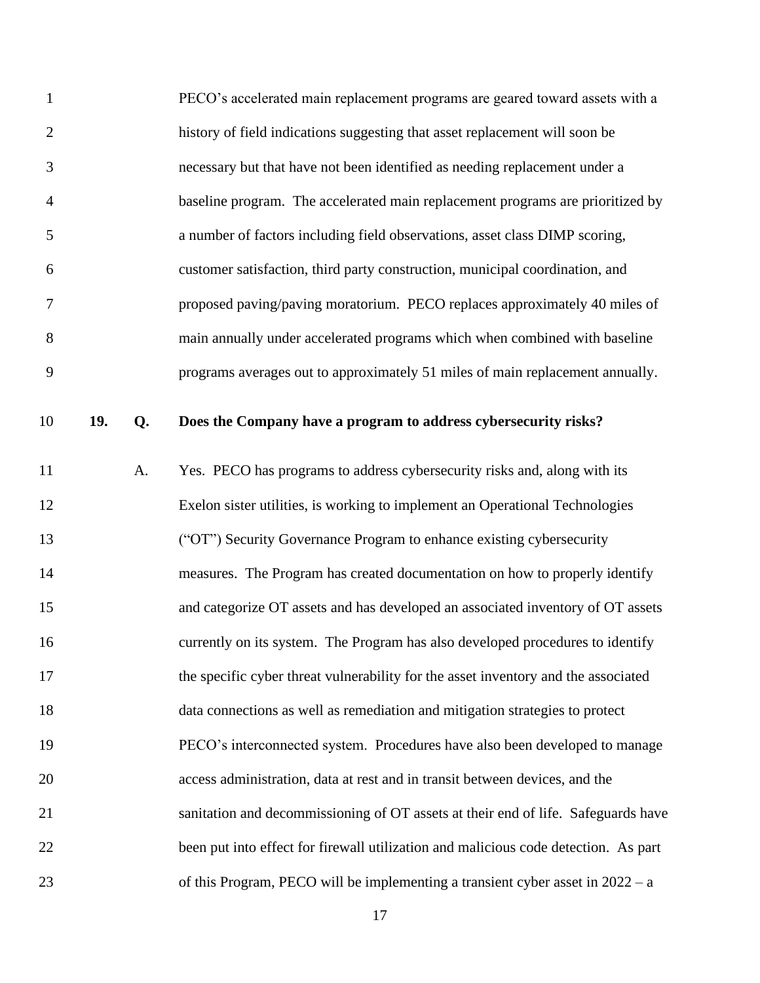PECO's accelerated main replacement programs are geared toward assets with a history of field indications suggesting that asset replacement will soon be necessary but that have not been identified as needing replacement under a baseline program. The accelerated main replacement programs are prioritized by a number of factors including field observations, asset class DIMP scoring, customer satisfaction, third party construction, municipal coordination, and proposed paving/paving moratorium. PECO replaces approximately 40 miles of main annually under accelerated programs which when combined with baseline programs averages out to approximately 51 miles of main replacement annually.

### **19. Q. Does the Company have a program to address cybersecurity risks?**

 A. Yes. PECO has programs to address cybersecurity risks and, along with its Exelon sister utilities, is working to implement an Operational Technologies ("OT") Security Governance Program to enhance existing cybersecurity measures. The Program has created documentation on how to properly identify and categorize OT assets and has developed an associated inventory of OT assets currently on its system. The Program has also developed procedures to identify the specific cyber threat vulnerability for the asset inventory and the associated data connections as well as remediation and mitigation strategies to protect PECO's interconnected system. Procedures have also been developed to manage access administration, data at rest and in transit between devices, and the sanitation and decommissioning of OT assets at their end of life. Safeguards have been put into effect for firewall utilization and malicious code detection. As part of this Program, PECO will be implementing a transient cyber asset in 2022 – a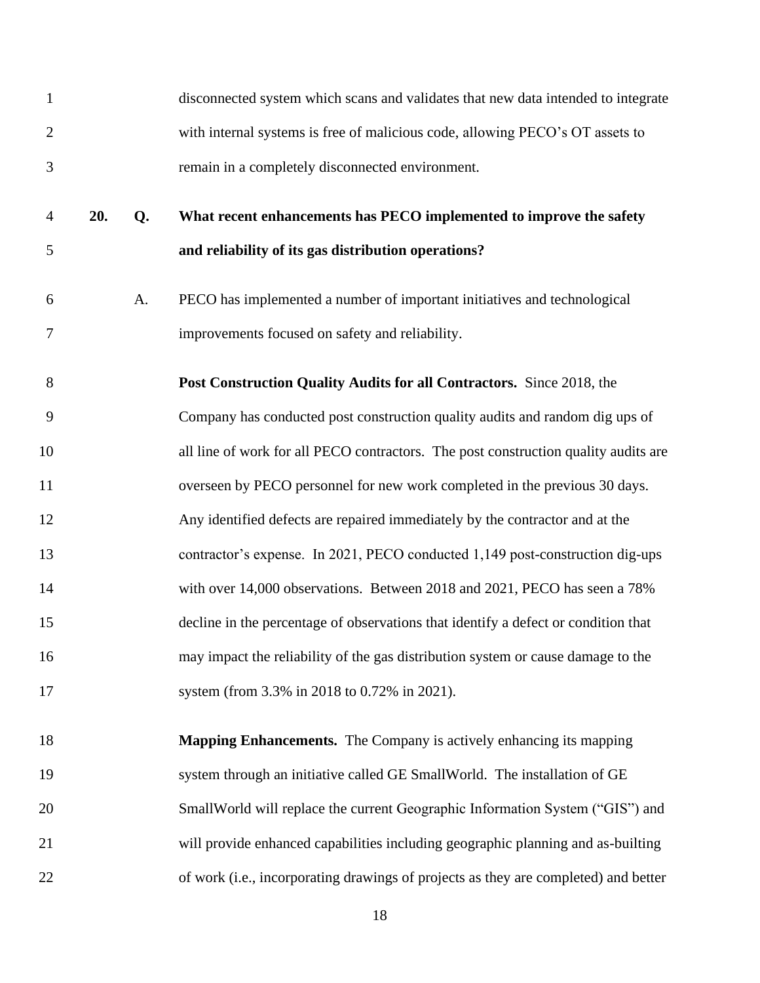| $\mathbf{1}$   |     |    | disconnected system which scans and validates that new data intended to integrate   |
|----------------|-----|----|-------------------------------------------------------------------------------------|
| $\overline{2}$ |     |    | with internal systems is free of malicious code, allowing PECO's OT assets to       |
| 3              |     |    | remain in a completely disconnected environment.                                    |
| 4              | 20. | Q. | What recent enhancements has PECO implemented to improve the safety                 |
| 5              |     |    | and reliability of its gas distribution operations?                                 |
| 6              |     | A. | PECO has implemented a number of important initiatives and technological            |
| 7              |     |    | improvements focused on safety and reliability.                                     |
| 8              |     |    | Post Construction Quality Audits for all Contractors. Since 2018, the               |
| 9              |     |    | Company has conducted post construction quality audits and random dig ups of        |
| 10             |     |    | all line of work for all PECO contractors. The post construction quality audits are |
| 11             |     |    | overseen by PECO personnel for new work completed in the previous 30 days.          |
| 12             |     |    | Any identified defects are repaired immediately by the contractor and at the        |
| 13             |     |    | contractor's expense. In 2021, PECO conducted 1,149 post-construction dig-ups       |
| 14             |     |    | with over 14,000 observations. Between 2018 and 2021, PECO has seen a 78%           |
| 15             |     |    | decline in the percentage of observations that identify a defect or condition that  |
| 16             |     |    | may impact the reliability of the gas distribution system or cause damage to the    |
| 17             |     |    | system (from 3.3% in 2018 to 0.72% in 2021).                                        |
| 18             |     |    | <b>Mapping Enhancements.</b> The Company is actively enhancing its mapping          |
| 19             |     |    | system through an initiative called GE SmallWorld. The installation of GE           |
| 20             |     |    | SmallWorld will replace the current Geographic Information System ("GIS") and       |
| 21             |     |    | will provide enhanced capabilities including geographic planning and as-builting    |
| 22             |     |    | of work (i.e., incorporating drawings of projects as they are completed) and better |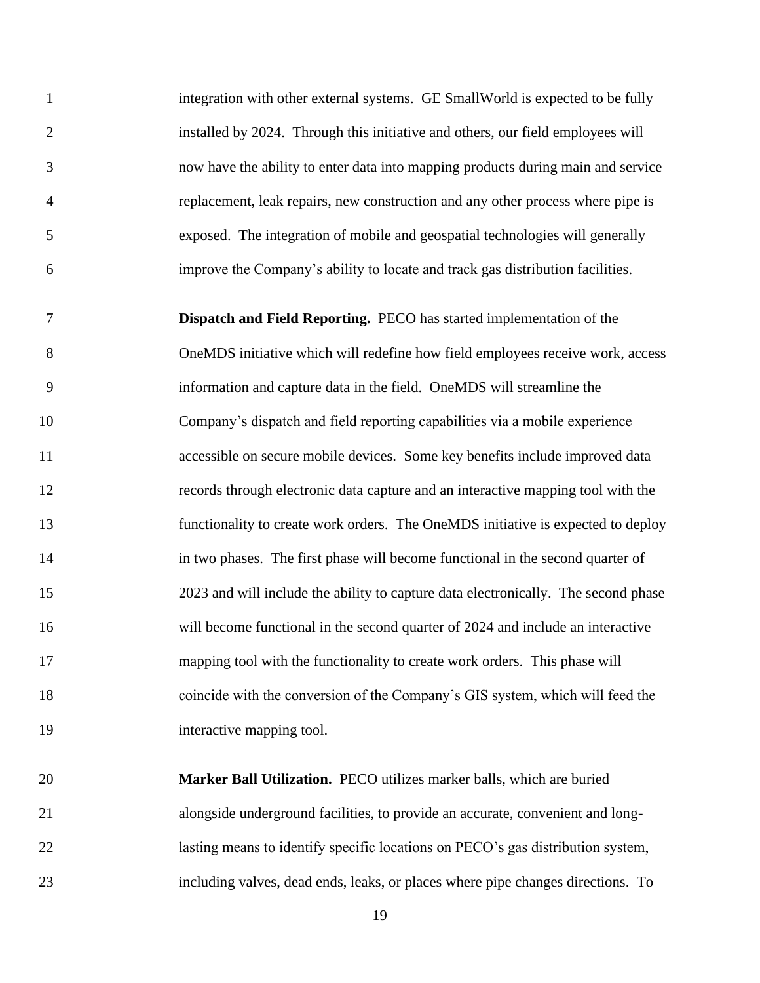integration with other external systems. GE SmallWorld is expected to be fully installed by 2024. Through this initiative and others, our field employees will now have the ability to enter data into mapping products during main and service replacement, leak repairs, new construction and any other process where pipe is exposed. The integration of mobile and geospatial technologies will generally improve the Company's ability to locate and track gas distribution facilities.

 **Dispatch and Field Reporting.** PECO has started implementation of the OneMDS initiative which will redefine how field employees receive work, access information and capture data in the field. OneMDS will streamline the Company's dispatch and field reporting capabilities via a mobile experience accessible on secure mobile devices. Some key benefits include improved data records through electronic data capture and an interactive mapping tool with the functionality to create work orders. The OneMDS initiative is expected to deploy in two phases. The first phase will become functional in the second quarter of 2023 and will include the ability to capture data electronically. The second phase will become functional in the second quarter of 2024 and include an interactive mapping tool with the functionality to create work orders. This phase will coincide with the conversion of the Company's GIS system, which will feed the 19 interactive mapping tool.

 **Marker Ball Utilization.** PECO utilizes marker balls, which are buried alongside underground facilities, to provide an accurate, convenient and long- lasting means to identify specific locations on PECO's gas distribution system, including valves, dead ends, leaks, or places where pipe changes directions. To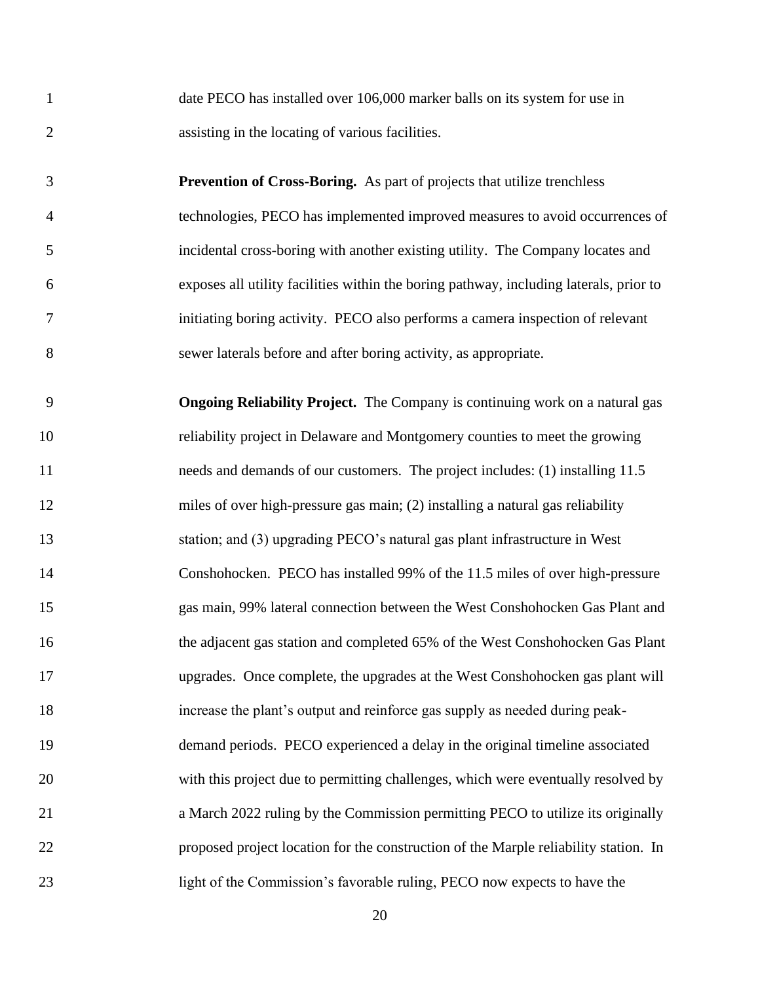date PECO has installed over 106,000 marker balls on its system for use in assisting in the locating of various facilities.

 **Prevention of Cross-Boring.** As part of projects that utilize trenchless technologies, PECO has implemented improved measures to avoid occurrences of incidental cross-boring with another existing utility. The Company locates and exposes all utility facilities within the boring pathway, including laterals, prior to initiating boring activity. PECO also performs a camera inspection of relevant sewer laterals before and after boring activity, as appropriate.

 **Ongoing Reliability Project.** The Company is continuing work on a natural gas reliability project in Delaware and Montgomery counties to meet the growing 11 needs and demands of our customers. The project includes: (1) installing 11.5 miles of over high-pressure gas main; (2) installing a natural gas reliability station; and (3) upgrading PECO's natural gas plant infrastructure in West Conshohocken. PECO has installed 99% of the 11.5 miles of over high-pressure gas main, 99% lateral connection between the West Conshohocken Gas Plant and the adjacent gas station and completed 65% of the West Conshohocken Gas Plant upgrades. Once complete, the upgrades at the West Conshohocken gas plant will increase the plant's output and reinforce gas supply as needed during peak- demand periods. PECO experienced a delay in the original timeline associated with this project due to permitting challenges, which were eventually resolved by a March 2022 ruling by the Commission permitting PECO to utilize its originally proposed project location for the construction of the Marple reliability station. In light of the Commission's favorable ruling, PECO now expects to have the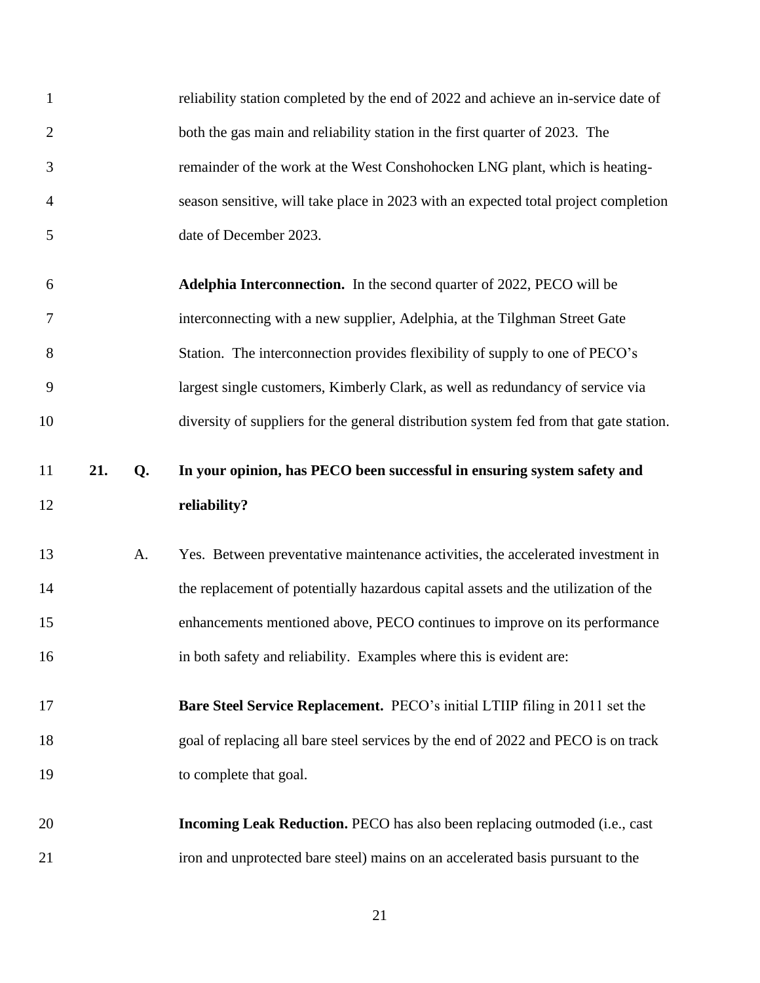| $\mathbf{1}$   |     |    | reliability station completed by the end of 2022 and achieve an in-service date of     |
|----------------|-----|----|----------------------------------------------------------------------------------------|
| $\overline{2}$ |     |    | both the gas main and reliability station in the first quarter of 2023. The            |
| 3              |     |    | remainder of the work at the West Conshohocken LNG plant, which is heating-            |
| 4              |     |    | season sensitive, will take place in 2023 with an expected total project completion    |
| 5              |     |    | date of December 2023.                                                                 |
| 6              |     |    | Adelphia Interconnection. In the second quarter of 2022, PECO will be                  |
| 7              |     |    | interconnecting with a new supplier, Adelphia, at the Tilghman Street Gate             |
| 8              |     |    | Station. The interconnection provides flexibility of supply to one of PECO's           |
| 9              |     |    | largest single customers, Kimberly Clark, as well as redundancy of service via         |
| 10             |     |    | diversity of suppliers for the general distribution system fed from that gate station. |
| 11             | 21. | Q. | In your opinion, has PECO been successful in ensuring system safety and                |
| 12             |     |    | reliability?                                                                           |
| 13             |     | A. | Yes. Between preventative maintenance activities, the accelerated investment in        |
| 14             |     |    | the replacement of potentially hazardous capital assets and the utilization of the     |
| 15             |     |    | enhancements mentioned above, PECO continues to improve on its performance             |
| 16             |     |    | in both safety and reliability. Examples where this is evident are:                    |
| 17             |     |    | Bare Steel Service Replacement. PECO's initial LTIIP filing in 2011 set the            |
| 18             |     |    | goal of replacing all bare steel services by the end of 2022 and PECO is on track      |
|                |     |    |                                                                                        |
| 19             |     |    | to complete that goal.                                                                 |
| 20             |     |    | <b>Incoming Leak Reduction.</b> PECO has also been replacing outmoded (i.e., cast      |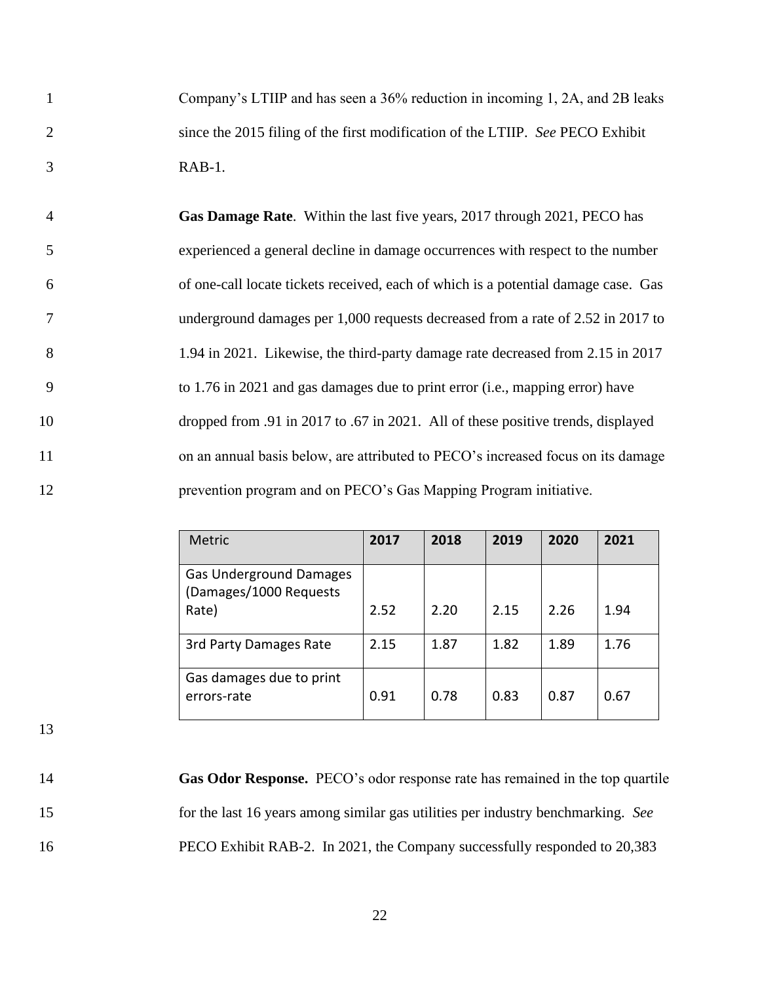| Company's LTIIP and has seen a 36% reduction in incoming 1, 2A, and 2B leaks   |
|--------------------------------------------------------------------------------|
| since the 2015 filing of the first modification of the LTIIP. See PECO Exhibit |
| $RAB-1.$                                                                       |

 **Gas Damage Rate**. Within the last five years, 2017 through 2021, PECO has experienced a general decline in damage occurrences with respect to the number of one-call locate tickets received, each of which is a potential damage case. Gas underground damages per 1,000 requests decreased from a rate of 2.52 in 2017 to 1.94 in 2021. Likewise, the third-party damage rate decreased from 2.15 in 2017 to 1.76 in 2021 and gas damages due to print error (i.e., mapping error) have dropped from .91 in 2017 to .67 in 2021. All of these positive trends, displayed 11 on an annual basis below, are attributed to PECO's increased focus on its damage **prevention program and on PECO's Gas Mapping Program initiative.** 

| Metric                                                            | 2017 | 2018 | 2019 | 2020 | 2021 |
|-------------------------------------------------------------------|------|------|------|------|------|
| <b>Gas Underground Damages</b><br>(Damages/1000 Requests<br>Rate) | 2.52 | 2.20 | 2.15 | 2.26 | 1.94 |
| 3rd Party Damages Rate                                            | 2.15 | 1.87 | 1.82 | 1.89 | 1.76 |
| Gas damages due to print<br>errors-rate                           | 0.91 | 0.78 | 0.83 | 0.87 | 0.67 |

 **Gas Odor Response.** PECO's odor response rate has remained in the top quartile for the last 16 years among similar gas utilities per industry benchmarking. *See*  PECO Exhibit RAB-2. In 2021, the Company successfully responded to 20,383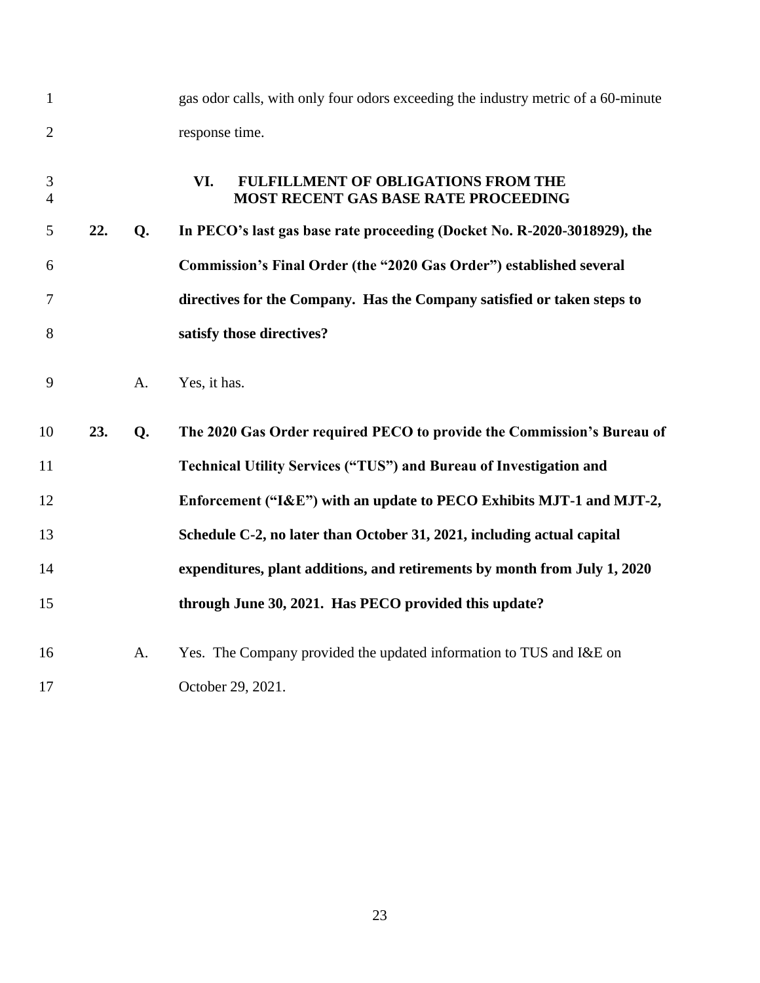<span id="page-24-0"></span>

| $\mathbf{1}$        |     |    | gas odor calls, with only four odors exceeding the industry metric of a 60-minute                |
|---------------------|-----|----|--------------------------------------------------------------------------------------------------|
| $\overline{2}$      |     |    | response time.                                                                                   |
| 3<br>$\overline{4}$ |     |    | VI.<br><b>FULFILLMENT OF OBLIGATIONS FROM THE</b><br><b>MOST RECENT GAS BASE RATE PROCEEDING</b> |
| 5                   | 22. | Q. | In PECO's last gas base rate proceeding (Docket No. R-2020-3018929), the                         |
| 6                   |     |    | Commission's Final Order (the "2020 Gas Order") established several                              |
| 7                   |     |    | directives for the Company. Has the Company satisfied or taken steps to                          |
| 8                   |     |    | satisfy those directives?                                                                        |
| 9                   |     | A. | Yes, it has.                                                                                     |
| 10                  | 23. | Q. | The 2020 Gas Order required PECO to provide the Commission's Bureau of                           |
| 11                  |     |    | Technical Utility Services ("TUS") and Bureau of Investigation and                               |
| 12                  |     |    | Enforcement ("I&E") with an update to PECO Exhibits MJT-1 and MJT-2,                             |
| 13                  |     |    | Schedule C-2, no later than October 31, 2021, including actual capital                           |
| 14                  |     |    | expenditures, plant additions, and retirements by month from July 1, 2020                        |
| 15                  |     |    | through June 30, 2021. Has PECO provided this update?                                            |
| 16                  |     | A. | Yes. The Company provided the updated information to TUS and I&E on                              |
| 17                  |     |    | October 29, 2021.                                                                                |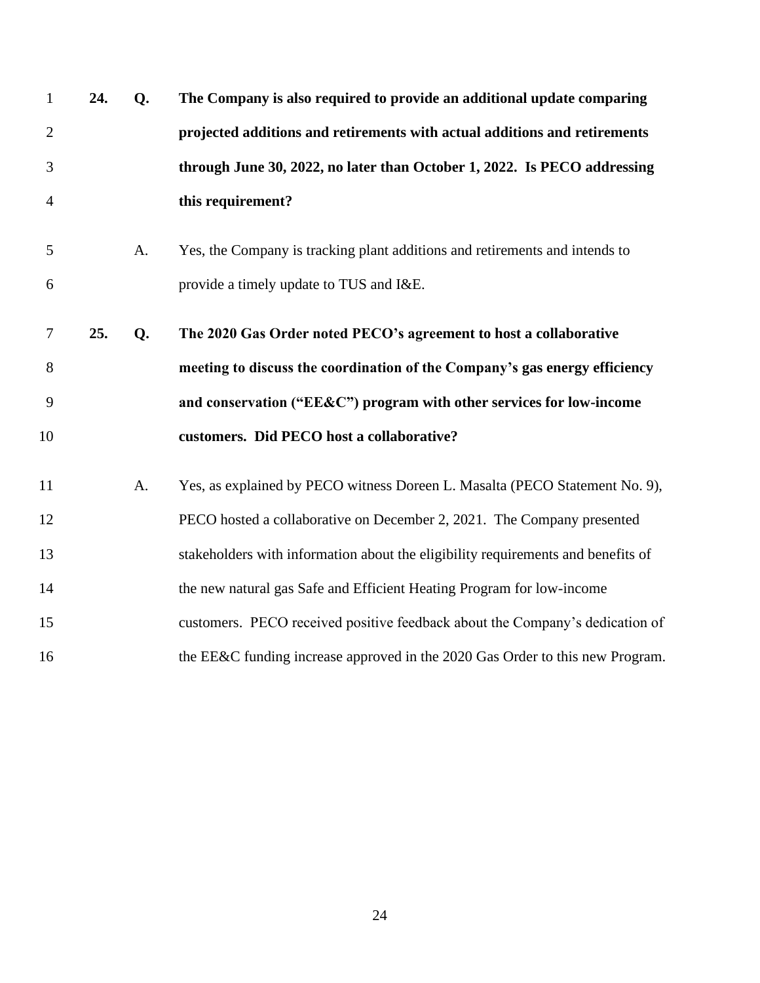| $\mathbf{1}$   | 24. | Q. | The Company is also required to provide an additional update comparing           |
|----------------|-----|----|----------------------------------------------------------------------------------|
| $\overline{2}$ |     |    | projected additions and retirements with actual additions and retirements        |
| 3              |     |    | through June 30, 2022, no later than October 1, 2022. Is PECO addressing         |
| $\overline{4}$ |     |    | this requirement?                                                                |
| 5              |     | A. | Yes, the Company is tracking plant additions and retirements and intends to      |
| 6              |     |    | provide a timely update to TUS and I&E.                                          |
| $\tau$         | 25. | Q. | The 2020 Gas Order noted PECO's agreement to host a collaborative                |
| 8              |     |    | meeting to discuss the coordination of the Company's gas energy efficiency       |
| 9              |     |    | and conservation ("EE&C") program with other services for low-income             |
| 10             |     |    | customers. Did PECO host a collaborative?                                        |
| 11             |     | A. | Yes, as explained by PECO witness Doreen L. Masalta (PECO Statement No. 9),      |
| 12             |     |    | PECO hosted a collaborative on December 2, 2021. The Company presented           |
| 13             |     |    | stakeholders with information about the eligibility requirements and benefits of |
| 14             |     |    | the new natural gas Safe and Efficient Heating Program for low-income            |
| 15             |     |    | customers. PECO received positive feedback about the Company's dedication of     |
| 16             |     |    | the EE&C funding increase approved in the 2020 Gas Order to this new Program.    |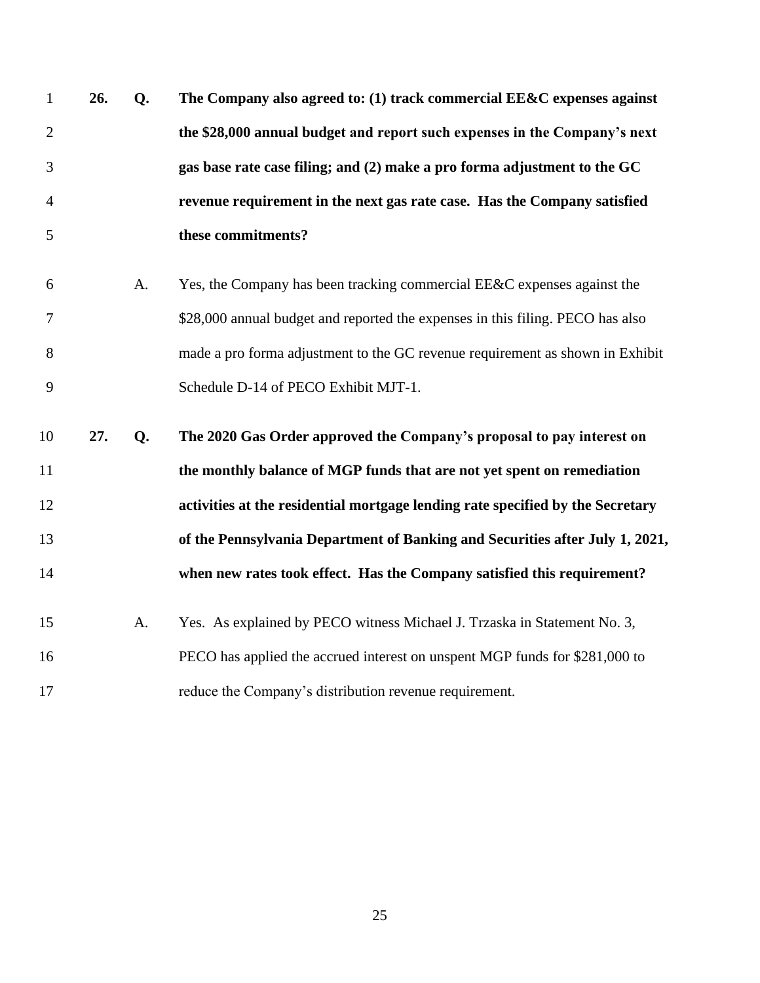| $\mathbf{1}$   | 26. | Q. | The Company also agreed to: (1) track commercial EE&C expenses against         |
|----------------|-----|----|--------------------------------------------------------------------------------|
| $\overline{2}$ |     |    | the \$28,000 annual budget and report such expenses in the Company's next      |
| 3              |     |    | gas base rate case filing; and (2) make a pro forma adjustment to the GC       |
| $\overline{4}$ |     |    | revenue requirement in the next gas rate case. Has the Company satisfied       |
| 5              |     |    | these commitments?                                                             |
| 6              |     | A. | Yes, the Company has been tracking commercial EE&C expenses against the        |
| $\tau$         |     |    | \$28,000 annual budget and reported the expenses in this filing. PECO has also |
| $8\,$          |     |    | made a pro forma adjustment to the GC revenue requirement as shown in Exhibit  |
| 9              |     |    | Schedule D-14 of PECO Exhibit MJT-1.                                           |
| 10             | 27. | Q. | The 2020 Gas Order approved the Company's proposal to pay interest on          |
| 11             |     |    | the monthly balance of MGP funds that are not yet spent on remediation         |
| 12             |     |    | activities at the residential mortgage lending rate specified by the Secretary |
| 13             |     |    | of the Pennsylvania Department of Banking and Securities after July 1, 2021,   |
| 14             |     |    | when new rates took effect. Has the Company satisfied this requirement?        |
| 15             |     | A. | Yes. As explained by PECO witness Michael J. Trzaska in Statement No. 3,       |
| 16             |     |    | PECO has applied the accrued interest on unspent MGP funds for \$281,000 to    |
| 17             |     |    | reduce the Company's distribution revenue requirement.                         |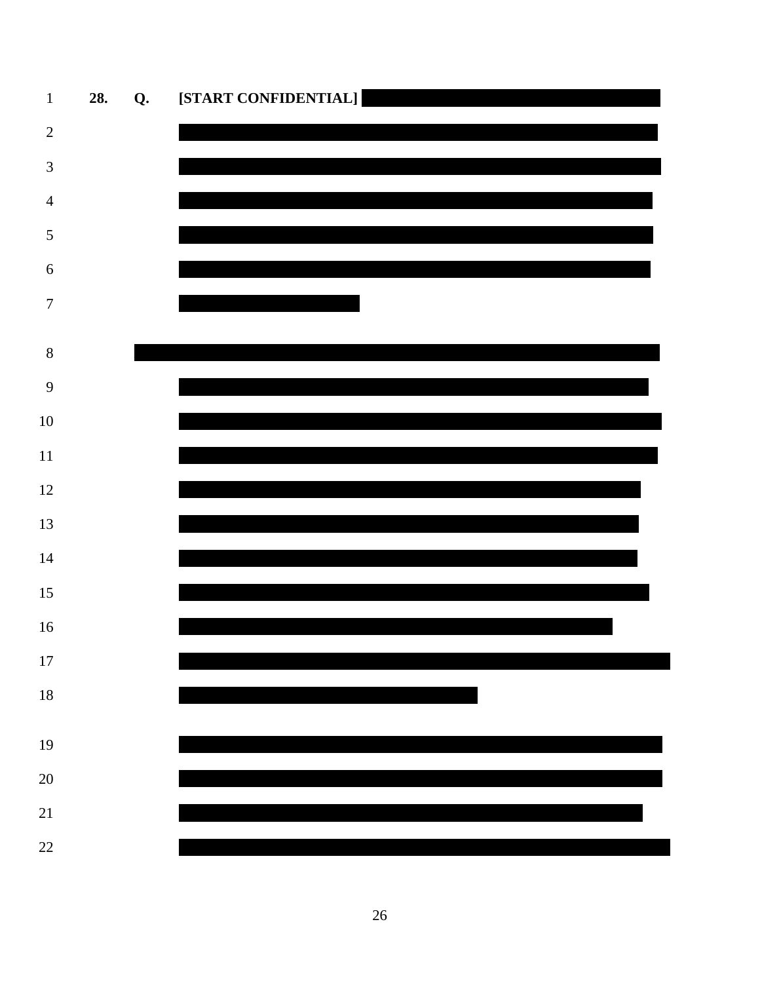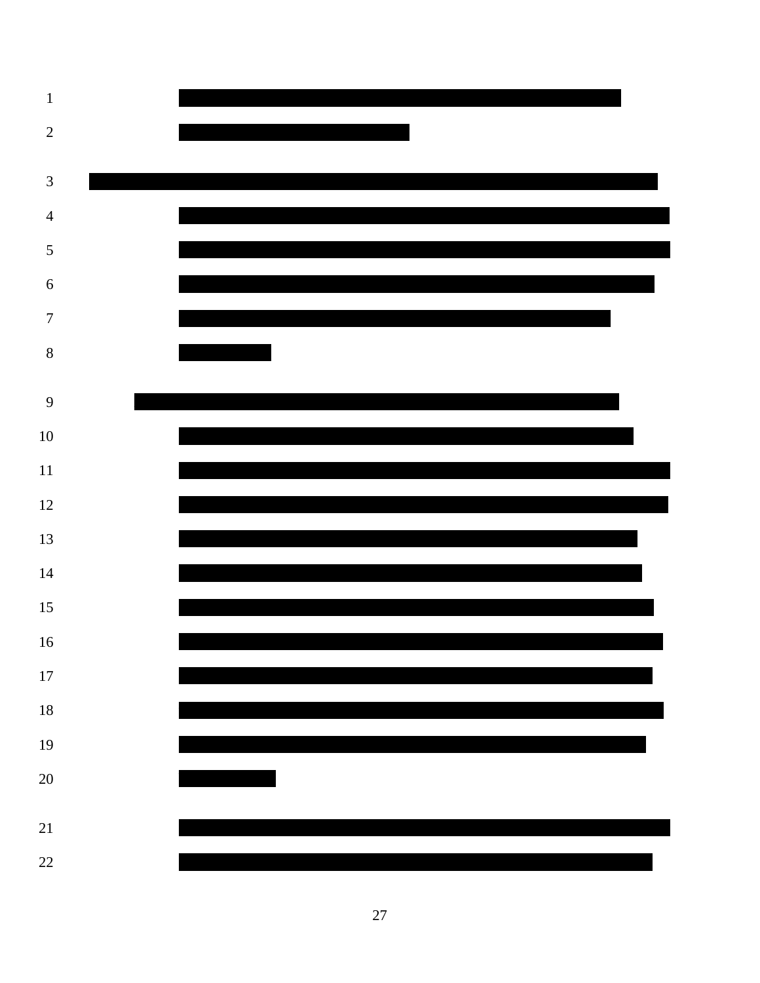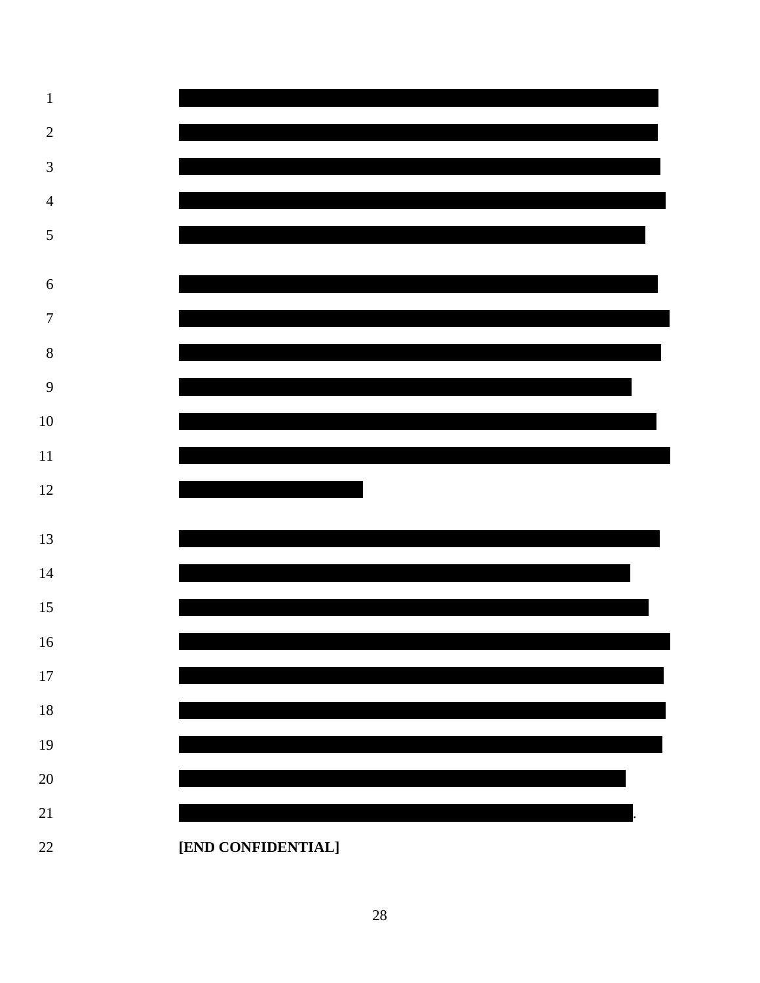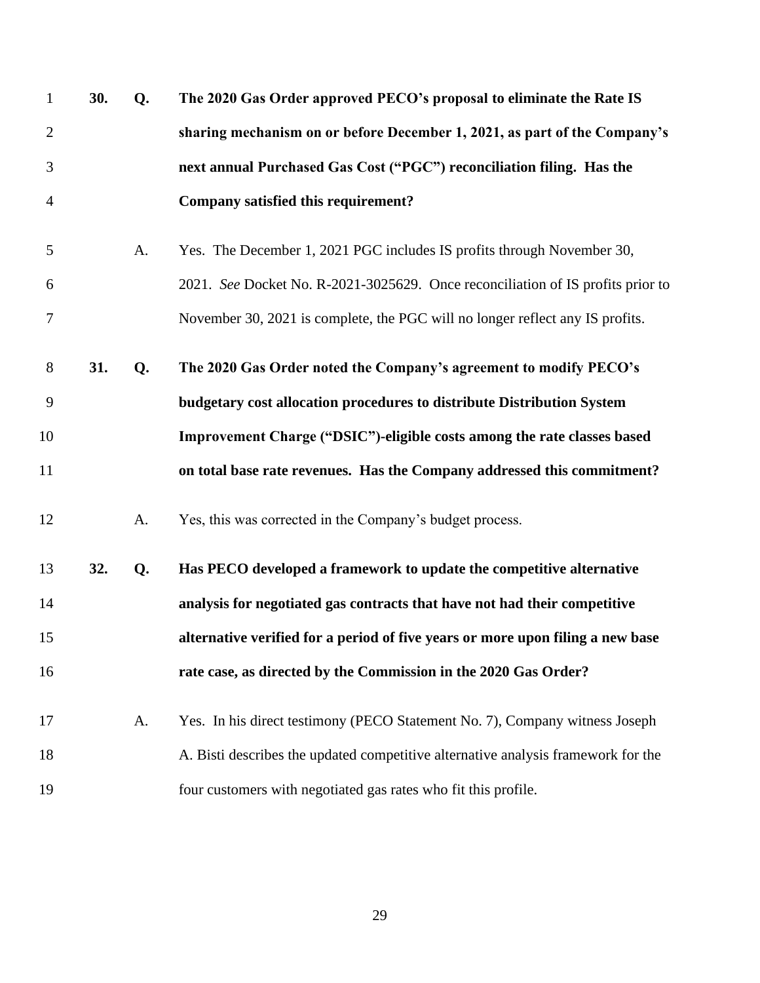| $\mathbf{1}$     | 30. | Q. | The 2020 Gas Order approved PECO's proposal to eliminate the Rate IS              |
|------------------|-----|----|-----------------------------------------------------------------------------------|
| $\overline{2}$   |     |    | sharing mechanism on or before December 1, 2021, as part of the Company's         |
| 3                |     |    | next annual Purchased Gas Cost ("PGC") reconciliation filing. Has the             |
| $\overline{4}$   |     |    | Company satisfied this requirement?                                               |
| 5                |     | A. | Yes. The December 1, 2021 PGC includes IS profits through November 30,            |
| 6                |     |    | 2021. See Docket No. R-2021-3025629. Once reconciliation of IS profits prior to   |
| $\boldsymbol{7}$ |     |    | November 30, 2021 is complete, the PGC will no longer reflect any IS profits.     |
| 8                | 31. | Q. | The 2020 Gas Order noted the Company's agreement to modify PECO's                 |
| 9                |     |    | budgetary cost allocation procedures to distribute Distribution System            |
| 10               |     |    | Improvement Charge ("DSIC")-eligible costs among the rate classes based           |
| 11               |     |    | on total base rate revenues. Has the Company addressed this commitment?           |
| 12               |     | A. | Yes, this was corrected in the Company's budget process.                          |
| 13               | 32. | Q. | Has PECO developed a framework to update the competitive alternative              |
| 14               |     |    | analysis for negotiated gas contracts that have not had their competitive         |
| 15               |     |    | alternative verified for a period of five years or more upon filing a new base    |
| 16               |     |    | rate case, as directed by the Commission in the 2020 Gas Order?                   |
| 17               |     | A. | Yes. In his direct testimony (PECO Statement No. 7), Company witness Joseph       |
| 18               |     |    | A. Bisti describes the updated competitive alternative analysis framework for the |
| 19               |     |    | four customers with negotiated gas rates who fit this profile.                    |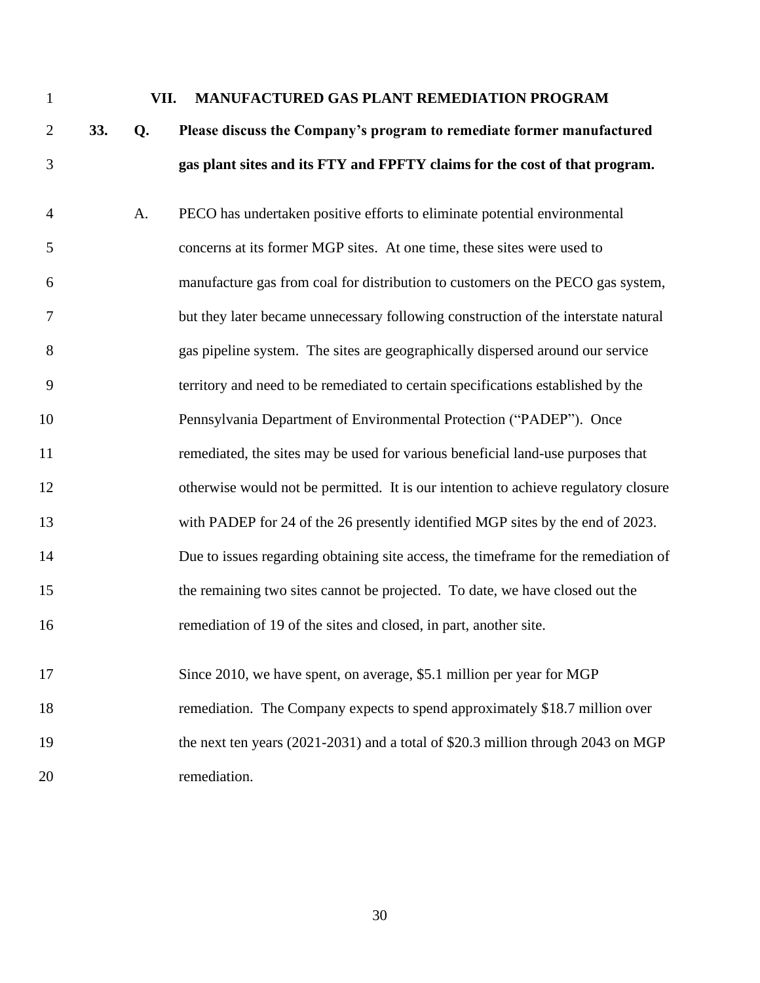<span id="page-31-0"></span>

| $\mathbf{1}$   |     | VII. | MANUFACTURED GAS PLANT REMEDIATION PROGRAM                                          |
|----------------|-----|------|-------------------------------------------------------------------------------------|
| $\overline{2}$ | 33. | Q.   | Please discuss the Company's program to remediate former manufactured               |
| 3              |     |      | gas plant sites and its FTY and FPFTY claims for the cost of that program.          |
| $\overline{4}$ |     | A.   | PECO has undertaken positive efforts to eliminate potential environmental           |
| 5              |     |      | concerns at its former MGP sites. At one time, these sites were used to             |
| 6              |     |      | manufacture gas from coal for distribution to customers on the PECO gas system,     |
| $\tau$         |     |      | but they later became unnecessary following construction of the interstate natural  |
| 8              |     |      | gas pipeline system. The sites are geographically dispersed around our service      |
| 9              |     |      | territory and need to be remediated to certain specifications established by the    |
| 10             |     |      | Pennsylvania Department of Environmental Protection ("PADEP"). Once                 |
| 11             |     |      | remediated, the sites may be used for various beneficial land-use purposes that     |
| 12             |     |      | otherwise would not be permitted. It is our intention to achieve regulatory closure |
| 13             |     |      | with PADEP for 24 of the 26 presently identified MGP sites by the end of 2023.      |
| 14             |     |      | Due to issues regarding obtaining site access, the timeframe for the remediation of |
| 15             |     |      | the remaining two sites cannot be projected. To date, we have closed out the        |
| 16             |     |      | remediation of 19 of the sites and closed, in part, another site.                   |
| 17             |     |      | Since 2010, we have spent, on average, \$5.1 million per year for MGP               |
| 18             |     |      | remediation. The Company expects to spend approximately \$18.7 million over         |
| 19             |     |      | the next ten years (2021-2031) and a total of \$20.3 million through 2043 on MGP    |
| 20             |     |      | remediation.                                                                        |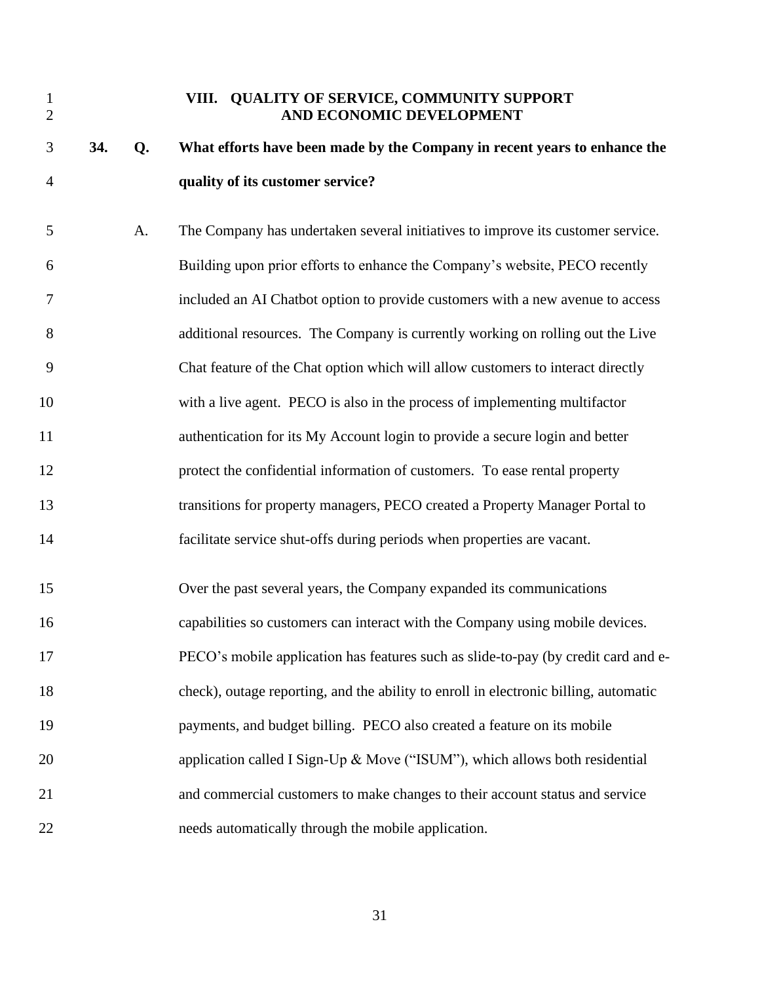<span id="page-32-0"></span>

| $\mathbf{1}$<br>$\overline{2}$ |     |    | VIII. QUALITY OF SERVICE, COMMUNITY SUPPORT<br>AND ECONOMIC DEVELOPMENT              |
|--------------------------------|-----|----|--------------------------------------------------------------------------------------|
| 3                              | 34. | Q. | What efforts have been made by the Company in recent years to enhance the            |
| $\overline{4}$                 |     |    | quality of its customer service?                                                     |
| 5                              |     | A. | The Company has undertaken several initiatives to improve its customer service.      |
| 6                              |     |    | Building upon prior efforts to enhance the Company's website, PECO recently          |
| 7                              |     |    | included an AI Chatbot option to provide customers with a new avenue to access       |
| 8                              |     |    | additional resources. The Company is currently working on rolling out the Live       |
| 9                              |     |    | Chat feature of the Chat option which will allow customers to interact directly      |
| 10                             |     |    | with a live agent. PECO is also in the process of implementing multifactor           |
| 11                             |     |    | authentication for its My Account login to provide a secure login and better         |
| 12                             |     |    | protect the confidential information of customers. To ease rental property           |
| 13                             |     |    | transitions for property managers, PECO created a Property Manager Portal to         |
| 14                             |     |    | facilitate service shut-offs during periods when properties are vacant.              |
| 15                             |     |    | Over the past several years, the Company expanded its communications                 |
| 16                             |     |    | capabilities so customers can interact with the Company using mobile devices.        |
| 17                             |     |    | PECO's mobile application has features such as slide-to-pay (by credit card and e-   |
| 18                             |     |    | check), outage reporting, and the ability to enroll in electronic billing, automatic |
| 19                             |     |    | payments, and budget billing. PECO also created a feature on its mobile              |
| 20                             |     |    | application called I Sign-Up & Move ("ISUM"), which allows both residential          |
| 21                             |     |    | and commercial customers to make changes to their account status and service         |
| 22                             |     |    | needs automatically through the mobile application.                                  |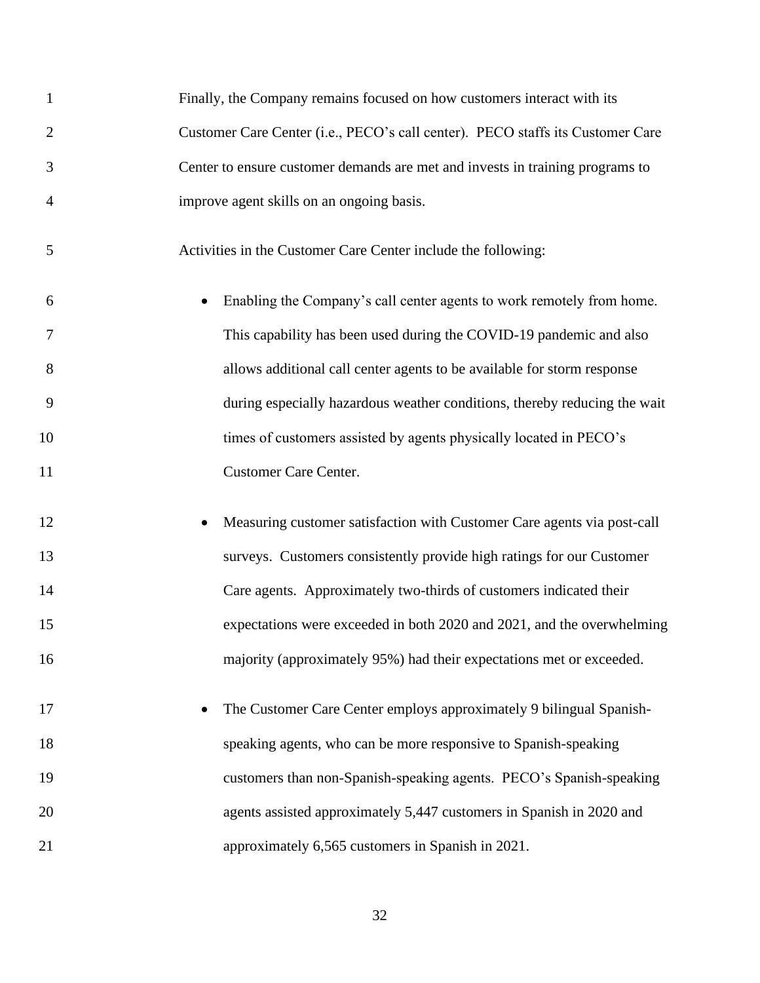| $\mathbf{1}$   | Finally, the Company remains focused on how customers interact with its        |
|----------------|--------------------------------------------------------------------------------|
| $\overline{2}$ | Customer Care Center (i.e., PECO's call center). PECO staffs its Customer Care |
| 3              | Center to ensure customer demands are met and invests in training programs to  |
| 4              | improve agent skills on an ongoing basis.                                      |
| 5              | Activities in the Customer Care Center include the following:                  |
| 6              | Enabling the Company's call center agents to work remotely from home.          |
| 7              | This capability has been used during the COVID-19 pandemic and also            |
| 8              | allows additional call center agents to be available for storm response        |
| 9              | during especially hazardous weather conditions, thereby reducing the wait      |
| 10             | times of customers assisted by agents physically located in PECO's             |
| 11             | <b>Customer Care Center.</b>                                                   |
| 12             | Measuring customer satisfaction with Customer Care agents via post-call        |
| 13             | surveys. Customers consistently provide high ratings for our Customer          |
| 14             | Care agents. Approximately two-thirds of customers indicated their             |
| 15             | expectations were exceeded in both 2020 and 2021, and the overwhelming         |
| 16             | majority (approximately 95%) had their expectations met or exceeded.           |
| 17             | The Customer Care Center employs approximately 9 bilingual Spanish-            |
| 18             | speaking agents, who can be more responsive to Spanish-speaking                |
| 19             | customers than non-Spanish-speaking agents. PECO's Spanish-speaking            |
| 20             | agents assisted approximately 5,447 customers in Spanish in 2020 and           |
| 21             | approximately 6,565 customers in Spanish in 2021.                              |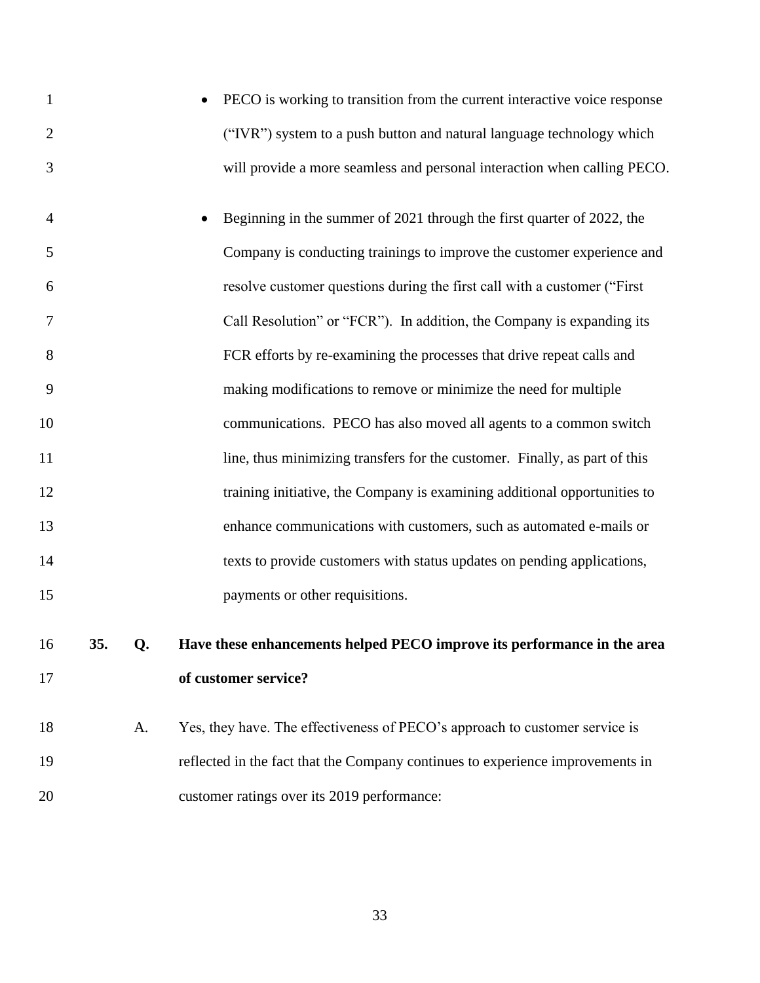| $\mathbf{1}$   |     |    | PECO is working to transition from the current interactive voice response      |
|----------------|-----|----|--------------------------------------------------------------------------------|
| $\overline{2}$ |     |    | ("IVR") system to a push button and natural language technology which          |
| 3              |     |    | will provide a more seamless and personal interaction when calling PECO.       |
| $\overline{4}$ |     |    | Beginning in the summer of 2021 through the first quarter of 2022, the         |
| 5              |     |    | Company is conducting trainings to improve the customer experience and         |
| 6              |     |    | resolve customer questions during the first call with a customer ("First       |
| 7              |     |    | Call Resolution" or "FCR"). In addition, the Company is expanding its          |
| 8              |     |    | FCR efforts by re-examining the processes that drive repeat calls and          |
| 9              |     |    | making modifications to remove or minimize the need for multiple               |
| 10             |     |    | communications. PECO has also moved all agents to a common switch              |
| 11             |     |    | line, thus minimizing transfers for the customer. Finally, as part of this     |
| 12             |     |    | training initiative, the Company is examining additional opportunities to      |
| 13             |     |    | enhance communications with customers, such as automated e-mails or            |
| 14             |     |    | texts to provide customers with status updates on pending applications,        |
| 15             |     |    | payments or other requisitions.                                                |
| 16             | 35. | Q. | Have these enhancements helped PECO improve its performance in the area        |
| 17             |     |    | of customer service?                                                           |
| 18             |     | A. | Yes, they have. The effectiveness of PECO's approach to customer service is    |
| 19             |     |    | reflected in the fact that the Company continues to experience improvements in |
| 20             |     |    | customer ratings over its 2019 performance:                                    |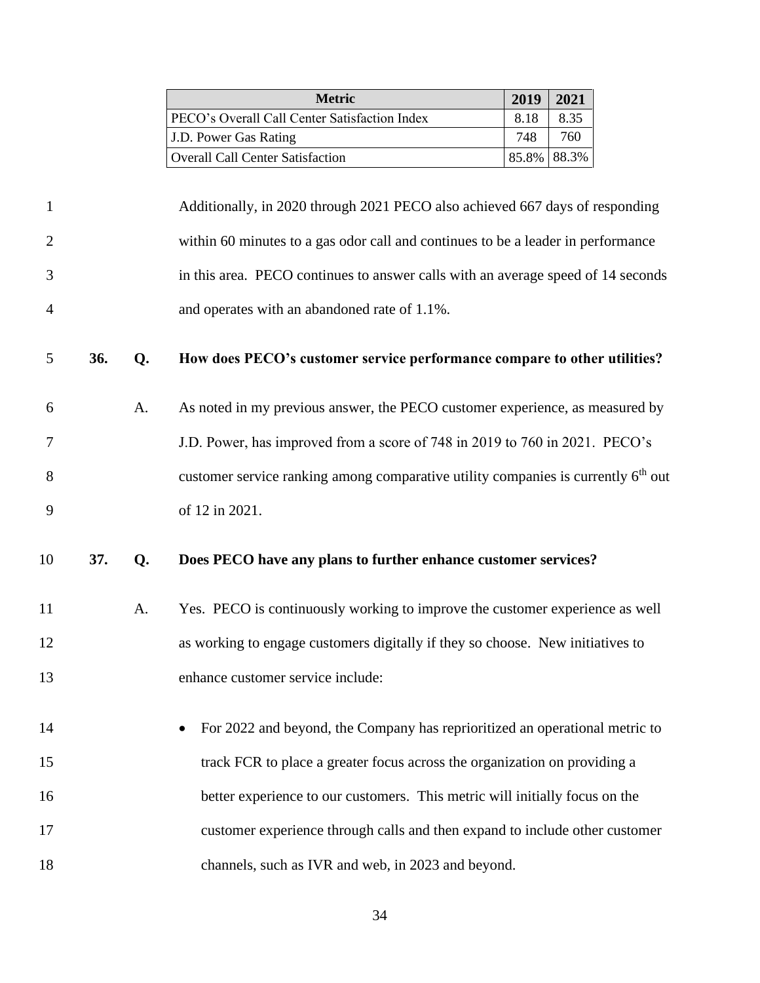|                                          |     |    | <b>Metric</b>                                                                                                                                                                                                                                                                                        | 2019  | 2021  |  |
|------------------------------------------|-----|----|------------------------------------------------------------------------------------------------------------------------------------------------------------------------------------------------------------------------------------------------------------------------------------------------------|-------|-------|--|
|                                          |     |    | PECO's Overall Call Center Satisfaction Index                                                                                                                                                                                                                                                        | 8.18  | 8.35  |  |
|                                          |     |    | J.D. Power Gas Rating                                                                                                                                                                                                                                                                                | 748   | 760   |  |
|                                          |     |    | <b>Overall Call Center Satisfaction</b>                                                                                                                                                                                                                                                              | 85.8% | 88.3% |  |
| $\mathbf{1}$<br>$\overline{2}$<br>3<br>4 |     |    | Additionally, in 2020 through 2021 PECO also achieved 667 days of responding<br>within 60 minutes to a gas odor call and continues to be a leader in performance<br>in this area. PECO continues to answer calls with an average speed of 14 seconds<br>and operates with an abandoned rate of 1.1%. |       |       |  |
| 5                                        | 36. | Q. | How does PECO's customer service performance compare to other utilities?                                                                                                                                                                                                                             |       |       |  |
| 6                                        |     | A. | As noted in my previous answer, the PECO customer experience, as measured by                                                                                                                                                                                                                         |       |       |  |
| 7                                        |     |    | J.D. Power, has improved from a score of 748 in 2019 to 760 in 2021. PECO's                                                                                                                                                                                                                          |       |       |  |
| 8                                        |     |    | customer service ranking among comparative utility companies is currently 6 <sup>th</sup> out                                                                                                                                                                                                        |       |       |  |
| 9                                        |     |    | of 12 in 2021.                                                                                                                                                                                                                                                                                       |       |       |  |
| 10                                       | 37. | Q. | Does PECO have any plans to further enhance customer services?                                                                                                                                                                                                                                       |       |       |  |
| 11                                       |     | A. | Yes. PECO is continuously working to improve the customer experience as well                                                                                                                                                                                                                         |       |       |  |
| 12                                       |     |    | as working to engage customers digitally if they so choose. New initiatives to                                                                                                                                                                                                                       |       |       |  |
| 13                                       |     |    | enhance customer service include:                                                                                                                                                                                                                                                                    |       |       |  |
| 14                                       |     |    | For 2022 and beyond, the Company has reprioritized an operational metric to                                                                                                                                                                                                                          |       |       |  |
| 15                                       |     |    | track FCR to place a greater focus across the organization on providing a                                                                                                                                                                                                                            |       |       |  |
| 16                                       |     |    | better experience to our customers. This metric will initially focus on the                                                                                                                                                                                                                          |       |       |  |
| 17                                       |     |    | customer experience through calls and then expand to include other customer                                                                                                                                                                                                                          |       |       |  |
| 18                                       |     |    | channels, such as IVR and web, in 2023 and beyond.                                                                                                                                                                                                                                                   |       |       |  |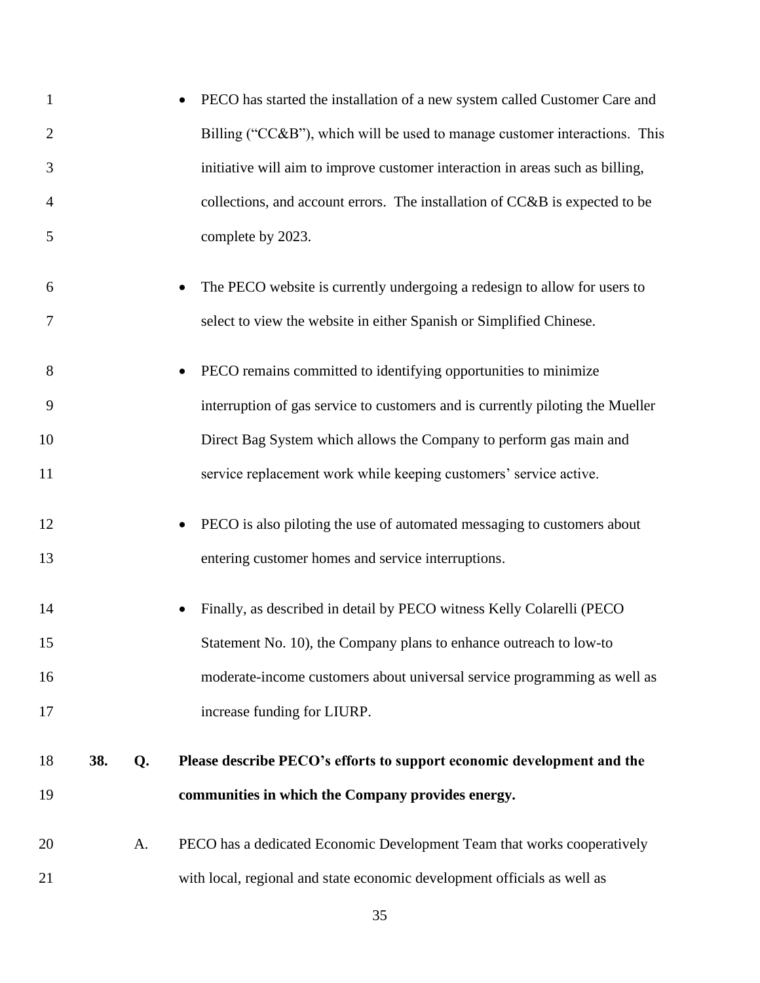| $\mathbf{1}$   |     |    | PECO has started the installation of a new system called Customer Care and     |
|----------------|-----|----|--------------------------------------------------------------------------------|
| $\overline{2}$ |     |    | Billing ("CC&B"), which will be used to manage customer interactions. This     |
| 3              |     |    | initiative will aim to improve customer interaction in areas such as billing,  |
| 4              |     |    | collections, and account errors. The installation of CC&B is expected to be    |
| 5              |     |    | complete by 2023.                                                              |
| 6              |     |    | The PECO website is currently undergoing a redesign to allow for users to      |
| 7              |     |    | select to view the website in either Spanish or Simplified Chinese.            |
| 8              |     |    | PECO remains committed to identifying opportunities to minimize                |
| 9              |     |    | interruption of gas service to customers and is currently piloting the Mueller |
| 10             |     |    | Direct Bag System which allows the Company to perform gas main and             |
| 11             |     |    | service replacement work while keeping customers' service active.              |
| 12             |     |    | PECO is also piloting the use of automated messaging to customers about        |
| 13             |     |    | entering customer homes and service interruptions.                             |
| 14             |     |    | Finally, as described in detail by PECO witness Kelly Colarelli (PECO          |
| 15             |     |    | Statement No. 10), the Company plans to enhance outreach to low-to             |
| 16             |     |    | moderate-income customers about universal service programming as well as       |
| 17             |     |    | increase funding for LIURP.                                                    |
| 18             | 38. | Q. | Please describe PECO's efforts to support economic development and the         |
| 19             |     |    | communities in which the Company provides energy.                              |
| 20             |     | A. | PECO has a dedicated Economic Development Team that works cooperatively        |
| 21             |     |    | with local, regional and state economic development officials as well as       |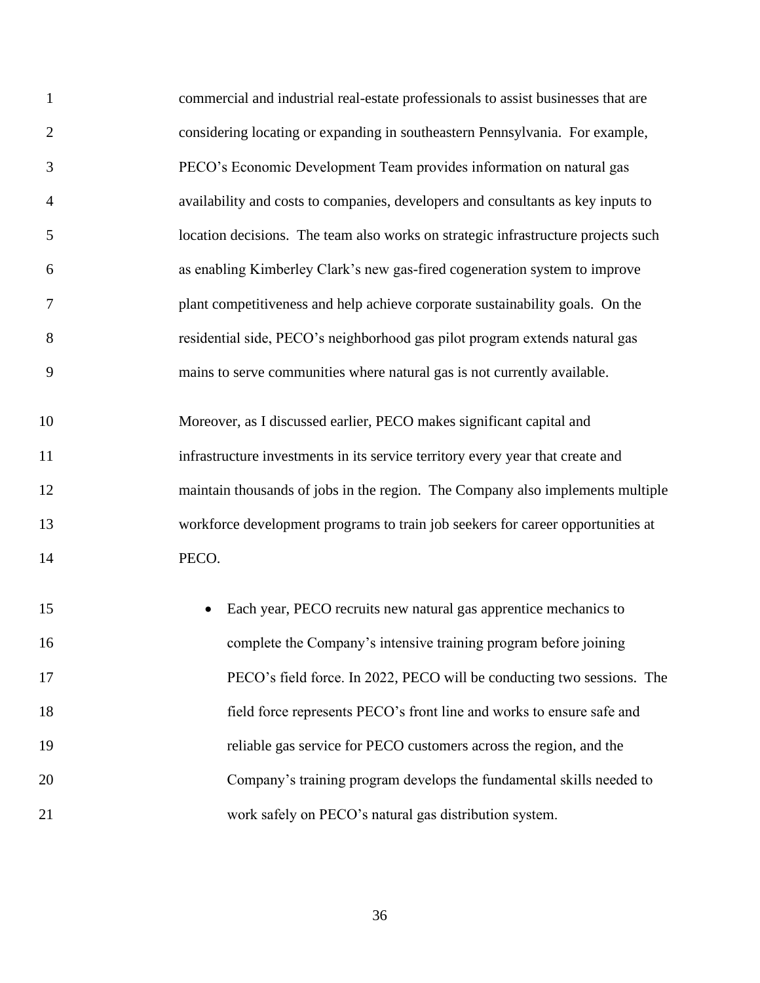commercial and industrial real-estate professionals to assist businesses that are considering locating or expanding in southeastern Pennsylvania. For example, PECO's Economic Development Team provides information on natural gas availability and costs to companies, developers and consultants as key inputs to location decisions. The team also works on strategic infrastructure projects such as enabling Kimberley Clark's new gas-fired cogeneration system to improve plant competitiveness and help achieve corporate sustainability goals. On the residential side, PECO's neighborhood gas pilot program extends natural gas mains to serve communities where natural gas is not currently available. Moreover, as I discussed earlier, PECO makes significant capital and 11 infrastructure investments in its service territory every year that create and maintain thousands of jobs in the region. The Company also implements multiple workforce development programs to train job seekers for career opportunities at PECO. • Each year, PECO recruits new natural gas apprentice mechanics to complete the Company's intensive training program before joining PECO's field force. In 2022, PECO will be conducting two sessions. The field force represents PECO's front line and works to ensure safe and

 reliable gas service for PECO customers across the region, and the Company's training program develops the fundamental skills needed to work safely on PECO's natural gas distribution system.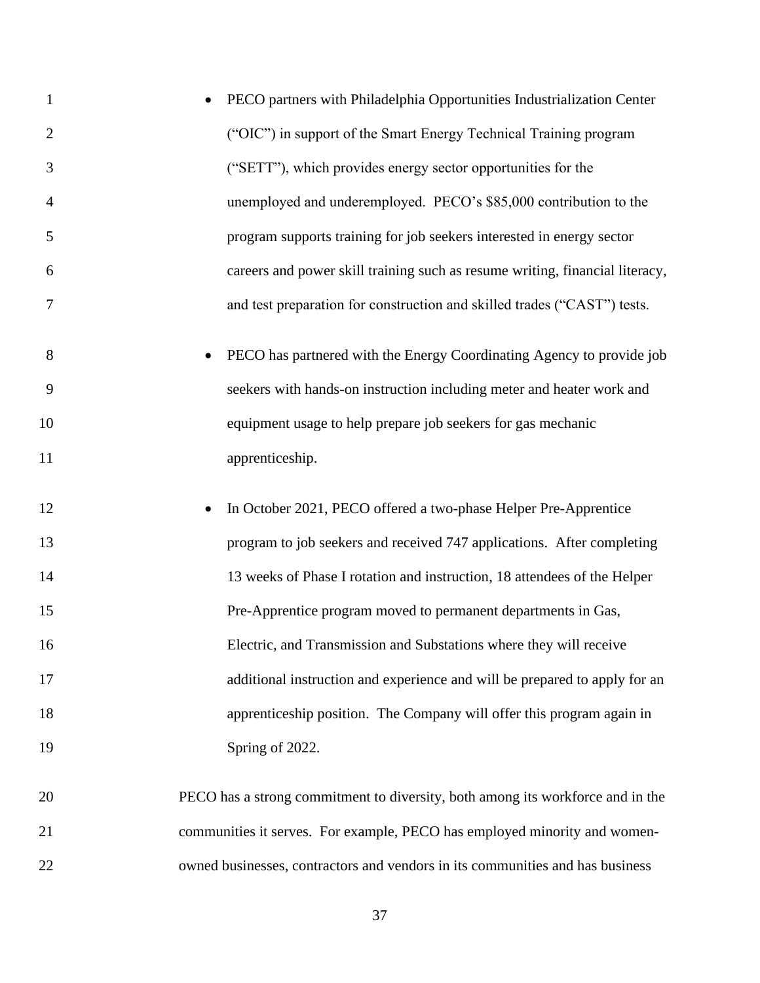| $\mathbf{1}$   | PECO partners with Philadelphia Opportunities Industrialization Center         |
|----------------|--------------------------------------------------------------------------------|
| $\overline{2}$ | ("OIC") in support of the Smart Energy Technical Training program              |
| 3              | ("SETT"), which provides energy sector opportunities for the                   |
| 4              | unemployed and underemployed. PECO's \$85,000 contribution to the              |
| 5              | program supports training for job seekers interested in energy sector          |
| 6              | careers and power skill training such as resume writing, financial literacy,   |
| 7              | and test preparation for construction and skilled trades ("CAST") tests.       |
| 8              | PECO has partnered with the Energy Coordinating Agency to provide job          |
| 9              | seekers with hands-on instruction including meter and heater work and          |
| 10             | equipment usage to help prepare job seekers for gas mechanic                   |
| 11             | apprenticeship.                                                                |
| 12             | In October 2021, PECO offered a two-phase Helper Pre-Apprentice<br>$\bullet$   |
| 13             | program to job seekers and received 747 applications. After completing         |
| 14             | 13 weeks of Phase I rotation and instruction, 18 attendees of the Helper       |
| 15             | Pre-Apprentice program moved to permanent departments in Gas,                  |
| 16             | Electric, and Transmission and Substations where they will receive             |
| 17             | additional instruction and experience and will be prepared to apply for an     |
| 18             | apprenticeship position. The Company will offer this program again in          |
| 19             | Spring of 2022.                                                                |
| 20             | PECO has a strong commitment to diversity, both among its workforce and in the |
| 21             | communities it serves. For example, PECO has employed minority and women-      |
| 22             | owned businesses, contractors and vendors in its communities and has business  |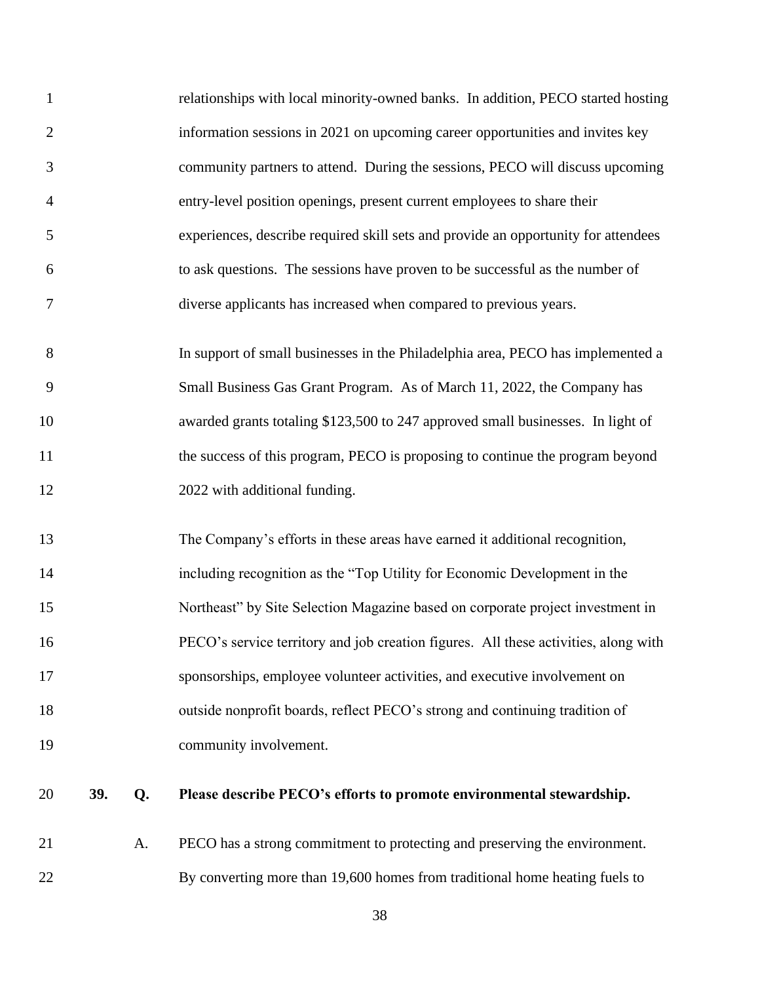| 22             |     |    | By converting more than 19,600 homes from traditional home heating fuels to         |
|----------------|-----|----|-------------------------------------------------------------------------------------|
| 21             |     | A. | PECO has a strong commitment to protecting and preserving the environment.          |
| 20             | 39. | Q. | Please describe PECO's efforts to promote environmental stewardship.                |
| 19             |     |    | community involvement.                                                              |
| 18             |     |    | outside nonprofit boards, reflect PECO's strong and continuing tradition of         |
| 17             |     |    | sponsorships, employee volunteer activities, and executive involvement on           |
| 16             |     |    | PECO's service territory and job creation figures. All these activities, along with |
| 15             |     |    | Northeast" by Site Selection Magazine based on corporate project investment in      |
| 14             |     |    | including recognition as the "Top Utility for Economic Development in the           |
| 13             |     |    | The Company's efforts in these areas have earned it additional recognition,         |
| 12             |     |    | 2022 with additional funding.                                                       |
| 11             |     |    | the success of this program, PECO is proposing to continue the program beyond       |
| 10             |     |    | awarded grants totaling \$123,500 to 247 approved small businesses. In light of     |
| 9              |     |    | Small Business Gas Grant Program. As of March 11, 2022, the Company has             |
| 8              |     |    | In support of small businesses in the Philadelphia area, PECO has implemented a     |
| 7              |     |    | diverse applicants has increased when compared to previous years.                   |
| 6              |     |    | to ask questions. The sessions have proven to be successful as the number of        |
| 5              |     |    | experiences, describe required skill sets and provide an opportunity for attendees  |
| 4              |     |    | entry-level position openings, present current employees to share their             |
| 3              |     |    | community partners to attend. During the sessions, PECO will discuss upcoming       |
| $\overline{2}$ |     |    | information sessions in 2021 on upcoming career opportunities and invites key       |
| $\mathbf{1}$   |     |    | relationships with local minority-owned banks. In addition, PECO started hosting    |
|                |     |    |                                                                                     |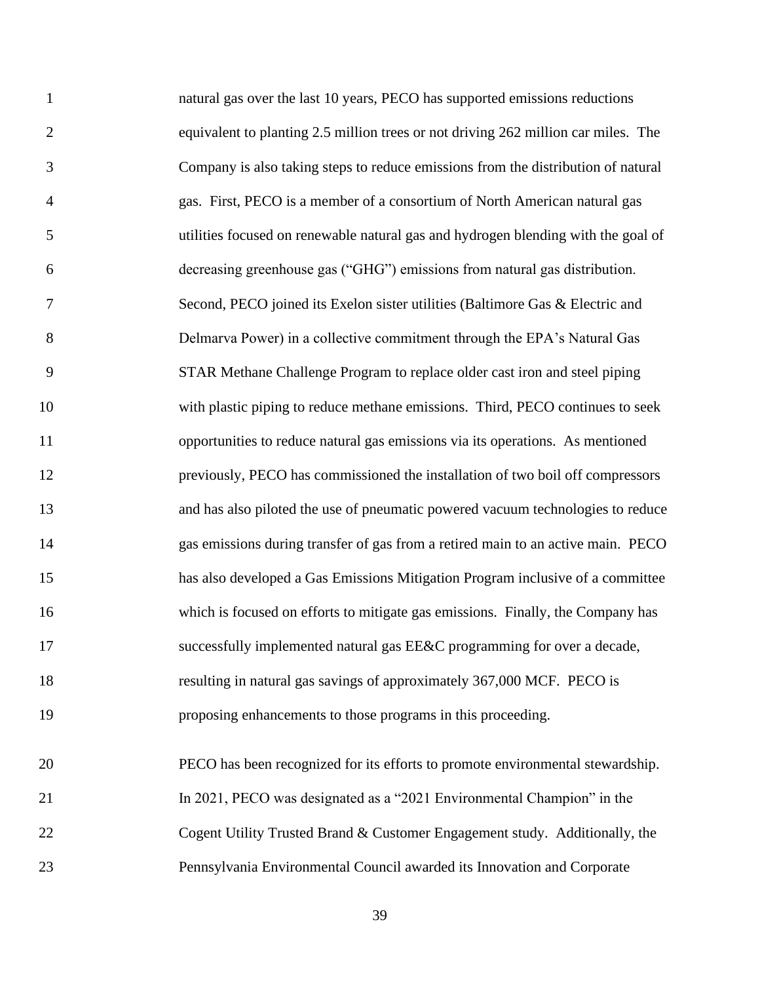| $\mathbf{1}$   | natural gas over the last 10 years, PECO has supported emissions reductions        |
|----------------|------------------------------------------------------------------------------------|
| $\overline{2}$ | equivalent to planting 2.5 million trees or not driving 262 million car miles. The |
| 3              | Company is also taking steps to reduce emissions from the distribution of natural  |
| $\overline{4}$ | gas. First, PECO is a member of a consortium of North American natural gas         |
| 5              | utilities focused on renewable natural gas and hydrogen blending with the goal of  |
| 6              | decreasing greenhouse gas ("GHG") emissions from natural gas distribution.         |
| 7              | Second, PECO joined its Exelon sister utilities (Baltimore Gas & Electric and      |
| 8              | Delmarva Power) in a collective commitment through the EPA's Natural Gas           |
| 9              | STAR Methane Challenge Program to replace older cast iron and steel piping         |
| 10             | with plastic piping to reduce methane emissions. Third, PECO continues to seek     |
| 11             | opportunities to reduce natural gas emissions via its operations. As mentioned     |
| 12             | previously, PECO has commissioned the installation of two boil off compressors     |
| 13             | and has also piloted the use of pneumatic powered vacuum technologies to reduce    |
| 14             | gas emissions during transfer of gas from a retired main to an active main. PECO   |
| 15             | has also developed a Gas Emissions Mitigation Program inclusive of a committee     |
| 16             | which is focused on efforts to mitigate gas emissions. Finally, the Company has    |
| 17             | successfully implemented natural gas EE&C programming for over a decade,           |
| 18             | resulting in natural gas savings of approximately 367,000 MCF. PECO is             |
| 19             | proposing enhancements to those programs in this proceeding.                       |
|                |                                                                                    |
| 20             | PECO has been recognized for its efforts to promote environmental stewardship.     |
| 21             | In 2021, PECO was designated as a "2021 Environmental Champion" in the             |
| 22             | Cogent Utility Trusted Brand & Customer Engagement study. Additionally, the        |

Pennsylvania Environmental Council awarded its Innovation and Corporate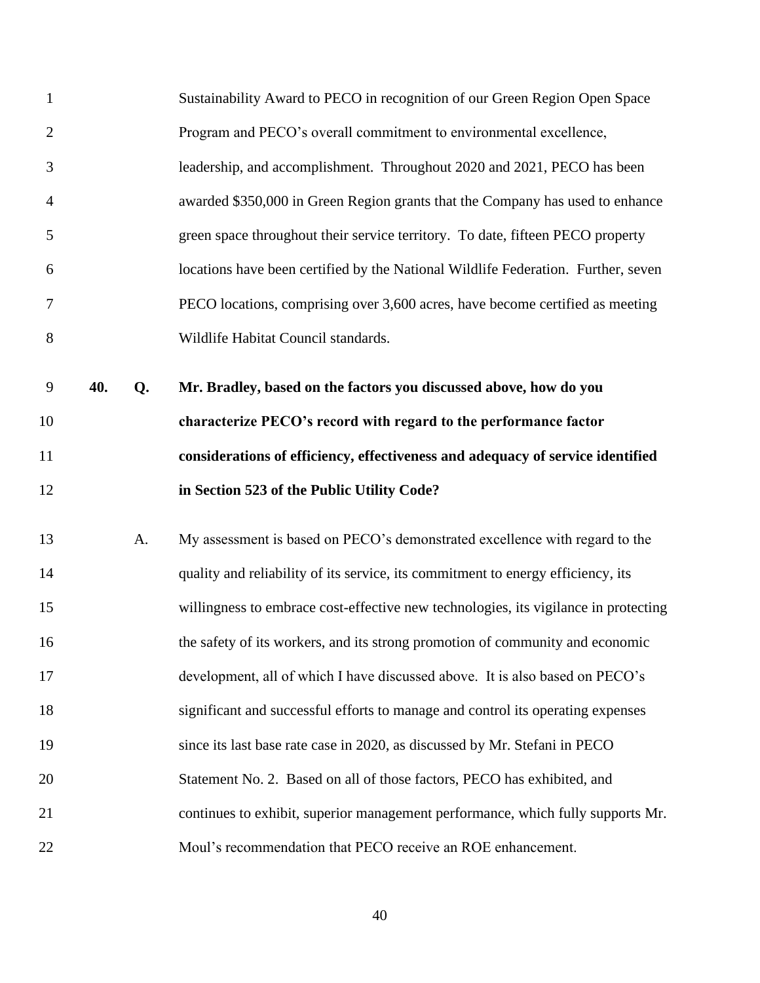| $\mathbf{1}$   |     |    | Sustainability Award to PECO in recognition of our Green Region Open Space          |
|----------------|-----|----|-------------------------------------------------------------------------------------|
| $\overline{2}$ |     |    | Program and PECO's overall commitment to environmental excellence,                  |
| 3              |     |    | leadership, and accomplishment. Throughout 2020 and 2021, PECO has been             |
| $\overline{4}$ |     |    | awarded \$350,000 in Green Region grants that the Company has used to enhance       |
| 5              |     |    | green space throughout their service territory. To date, fifteen PECO property      |
| 6              |     |    | locations have been certified by the National Wildlife Federation. Further, seven   |
| 7              |     |    | PECO locations, comprising over 3,600 acres, have become certified as meeting       |
| $8\,$          |     |    | Wildlife Habitat Council standards.                                                 |
| $\mathbf{9}$   | 40. | Q. | Mr. Bradley, based on the factors you discussed above, how do you                   |
| 10             |     |    | characterize PECO's record with regard to the performance factor                    |
| 11             |     |    | considerations of efficiency, effectiveness and adequacy of service identified      |
| 12             |     |    | in Section 523 of the Public Utility Code?                                          |
| 13             |     | A. | My assessment is based on PECO's demonstrated excellence with regard to the         |
| 14             |     |    | quality and reliability of its service, its commitment to energy efficiency, its    |
| 15             |     |    | willingness to embrace cost-effective new technologies, its vigilance in protecting |
| 16             |     |    | the safety of its workers, and its strong promotion of community and economic       |
| 17             |     |    | development, all of which I have discussed above. It is also based on PECO's        |
| 18             |     |    | significant and successful efforts to manage and control its operating expenses     |
| 19             |     |    | since its last base rate case in 2020, as discussed by Mr. Stefani in PECO          |
| 20             |     |    | Statement No. 2. Based on all of those factors, PECO has exhibited, and             |
| 21             |     |    | continues to exhibit, superior management performance, which fully supports Mr.     |
| 22             |     |    | Moul's recommendation that PECO receive an ROE enhancement.                         |